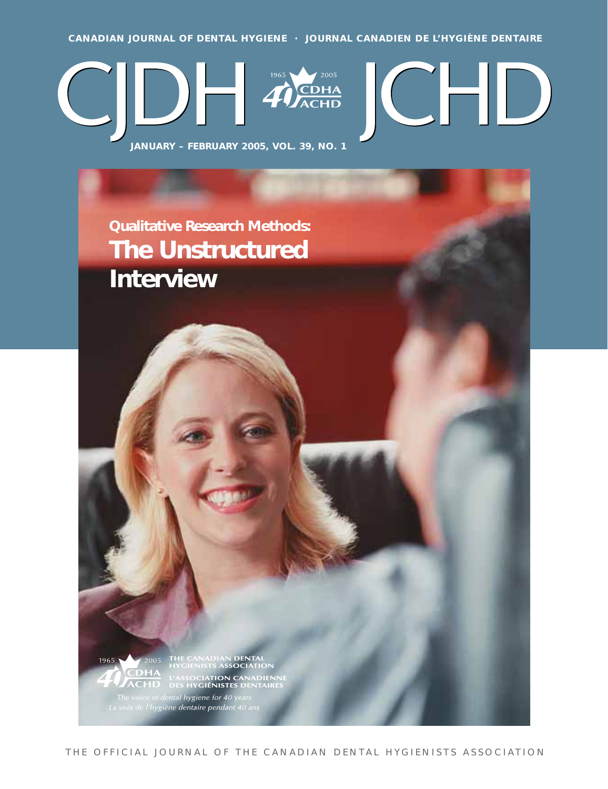**CANADIAN JOURNAL OF DENTAL HYGIENE · JOURNAL CANADIEN DE L'HYGIÈNE DENTAIRE**



**Qualitative Research Methods: The Unstructured Interview**



THE OFFICIAL JOURNAL OF THE CANADIAN DENTAL HYGIENISTS ASSOCIATION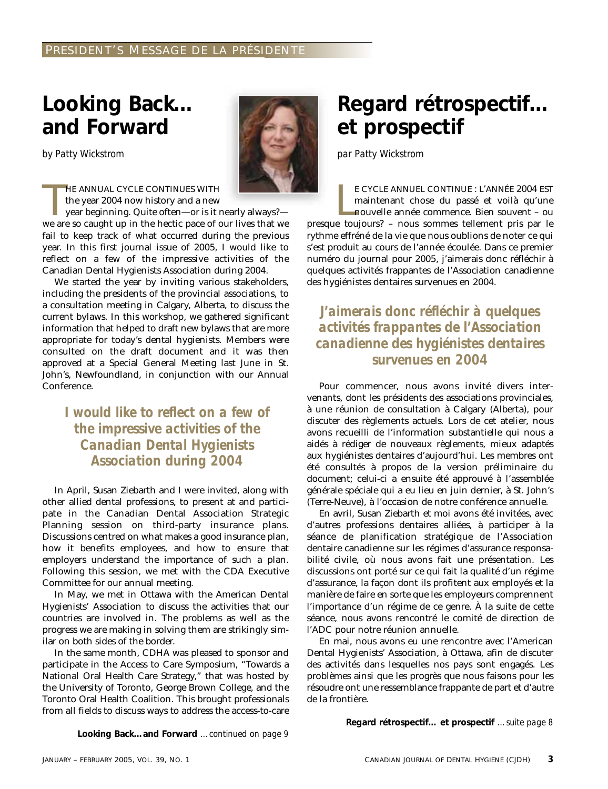## **Looking Back… and Forward**

*by Patty Wickstrom*

HE ANNUAL CYCLE CONTINUES WITH the year 2004 now history and a new

HE ANNUAL CYCLE CONTINUES WITH<br>the year 2004 now history and a new<br>year beginning. Quite often—or is it nearly always?—<br>we are so caught up in the hectic pace of our lives that we year beginning. Quite often—or is it nearly always? fail to keep track of what occurred during the previous year. In this first journal issue of 2005, I would like to reflect on a few of the impressive activities of the Canadian Dental Hygienists Association during 2004.

We started the year by inviting various stakeholders, including the presidents of the provincial associations, to a consultation meeting in Calgary, Alberta, to discuss the current bylaws. In this workshop, we gathered significant information that helped to draft new bylaws that are more appropriate for today's dental hygienists. Members were consulted on the draft document and it was then approved at a Special General Meeting last June in St. John's, Newfoundland, in conjunction with our Annual Conference.

### *I would like to reflect on a few of the impressive activities of the Canadian Dental Hygienists Association during 2004*

In April, Susan Ziebarth and I were invited, along with other allied dental professions, to present at and participate in the Canadian Dental Association Strategic Planning session on third-party insurance plans. Discussions centred on what makes a good insurance plan, how it benefits employees, and how to ensure that employers understand the importance of such a plan. Following this session, we met with the CDA Executive Committee for our annual meeting.

In May, we met in Ottawa with the American Dental Hygienists' Association to discuss the activities that our countries are involved in. The problems as well as the progress we are making in solving them are strikingly similar on both sides of the border.

In the same month, CDHA was pleased to sponsor and participate in the Access to Care Symposium, "Towards a National Oral Health Care Strategy," that was hosted by the University of Toronto, George Brown College, and the Toronto Oral Health Coalition. This brought professionals from all fields to discuss ways to address the access-to-care

## **Regard rétrospectif… et prospectif**

*par Patty Wickstrom*

E CYCLE ANNUEL CONTINUE : L'ANNÉE 2004 EST<br>maintenant chose du passé et voilà qu'une<br>nouvelle année commence. Bien souvent – ou<br>presque toujours? – nous sommes tellement pris par le E CYCLE ANNUEL CONTINUE : L'ANNÉE 2004 EST maintenant chose du passé et voilà qu'une nouvelle année commence. Bien souvent – ou rythme effréné de la vie que nous oublions de noter ce qui s'est produit au cours de l'année écoulée. Dans ce premier numéro du journal pour 2005, j'aimerais donc réfléchir à quelques activités frappantes de l'Association canadienne des hygiénistes dentaires survenues en 2004.

*J'aimerais donc réfléchir à quelques activités frappantes de l'Association canadienne des hygiénistes dentaires survenues en 2004*

Pour commencer, nous avons invité divers intervenants, dont les présidents des associations provinciales, à une réunion de consultation à Calgary (Alberta), pour discuter des règlements actuels. Lors de cet atelier, nous avons recueilli de l'information substantielle qui nous a aidés à rédiger de nouveaux règlements, mieux adaptés aux hygiénistes dentaires d'aujourd'hui. Les membres ont été consultés à propos de la version préliminaire du document; celui-ci a ensuite été approuvé à l'assemblée générale spéciale qui a eu lieu en juin dernier, à St. John's (Terre-Neuve), à l'occasion de notre conférence annuelle.

En avril, Susan Ziebarth et moi avons été invitées, avec d'autres professions dentaires alliées, à participer à la séance de planification stratégique de l'Association dentaire canadienne sur les régimes d'assurance responsabilité civile, où nous avons fait une présentation. Les discussions ont porté sur ce qui fait la qualité d'un régime d'assurance, la façon dont ils profitent aux employés et la manière de faire en sorte que les employeurs comprennent l'importance d'un régime de ce genre. À la suite de cette séance, nous avons rencontré le comité de direction de l'ADC pour notre réunion annuelle.

En mai, nous avons eu une rencontre avec l'American Dental Hygienists' Association, à Ottawa, afin de discuter des activités dans lesquelles nos pays sont engagés. Les problèmes ainsi que les progrès que nous faisons pour les résoudre ont une ressemblance frappante de part et d'autre de la frontière.

**Regard rétrospectif… et prospectif** *…suite page 8*

**Looking Back…and Forward** *…continued on page 9*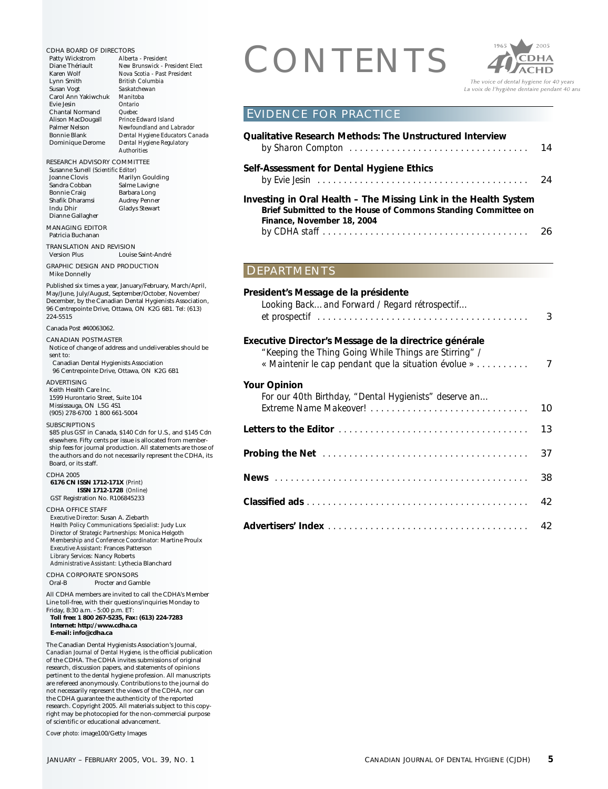CDHA BOARD OF DIRECTORS<br>
Patty Wickstrom Alberta - President<br>
Karen Wolf New Brunswick - President Elect<br>
Karen Wolf New Brunswick - President<br>
Lynn Smith<br>
British Columbia Patty Wickstrom *Alberta - President* Diane Thériault *New Brunswick - President Elect* Karen Wolf *Nova Scotia - Past President* Lynn Smith *British Columbia* Saskatchewan<br>Manitoba **Carol Ann Yakiwchuk** *Manitob*<br>**Evic Jesin** *Ontario* Evie Jesin *Ontario* Chantal Normand *Quebec* Alison MacDougall *Prince Edward Island* Palmer Nelson *Newfoundland and Labrador* Bonnie Blank *Dental Hygiene Educators Canada* Dominique Derome *Dental Hygiene Regulatory Authorities* RESEARCH ADVISORY COMMITTEE Susanne Sunell *(Scientific Editor)* Joanne Clovis Marilyn Goulding<br>Sandra Cobban Salme Lavigne Salme Lavigne<br>Barbara Long Bonnie Craig Barbara Long<br>Shafik Dharamsi Audrey Penner Shafik Dharamsi<br>Indu Dhir Gladys Stewart Dianne Gallagher MANAGING EDITOR Patricia Buchanan TRANSLATION AND REVISION Version Plus Louise Saint-André GRAPHIC DESIGN AND PRODUCTION Mike Donnelly Published six times a year, January/February, March/April, May/June, July/August, September/October, November/ December, by the Canadian Dental Hygienists Association, 96 Centrepointe Drive, Ottawa, ON K2G 6B1. Tel: (613) 224-5515 Canada Post #40063062. CANADIAN POSTMASTER Notice of change of address and undeliverables should be sent to: Canadian Dental Hygienists Association 96 Centrepointe Drive, Ottawa, ON K2G 6B1 ADVERTISING Keith Health Care Inc. 1599 Hurontario Street, Suite 104 Mississauga, ON L5G 4S1 (905) 278-6700 1 800 661-5004 **SUBSCRIPTIONS** \$85 plus GST in Canada, \$140 Cdn for U.S., and \$145 Cdn elsewhere. Fifty cents per issue is allocated from membership fees for journal production. All statements are those of the authors and do not necessarily represent the CDHA, its Board, or its staff. CDHA 2005 **6176 CN ISSN 1712-171X** *(Print)* **ISSN 1712-1728** *(Online)* GST Registration No. R106845233 CDHA OFFICE STAFF *Executive Director:* Susan A. Ziebarth *Health Policy Communications Specialist:* Judy Lux *Director of Strategic Partnerships:* Monica Helgoth *Membership and Conference Coordinator:* Martine Proulx *Executive Assistant:* Frances Patterson *Library Services:* Nancy Roberts *Administrative Assistant:* Lythecia Blanchard CDHA CORPORATE SPONSORS<br>Oral-B Procter and Can Procter and Gamble All CDHA members are invited to call the CDHA's Member Line toll-free, with their questions/inquiries Monday to Friday, 8:30 a.m. - 5:00 p.m. ET: **Toll free: 1 800 267-5235, Fax: (613) 224-7283 Internet: http://www.cdha.ca E-mail: info@cdha.ca** The Canadian Dental Hygienists Association's Journal, *Canadian Journal of Dental Hygiene,* is the official publication of the CDHA. The CDHA invites submissions of original research, discussion papers, and statements of opinions pertinent to the dental hygiene profession. All manuscripts are refereed anonymously. Contributions to the journal do not necessarily represent the views of the CDHA, nor can the CDHA guarantee the authenticity of the reported research. Copyright 2005. All materials subject to this copy-EVIDENCE FOR PRACTICE **Finance, November 18, 2004** DEPARTMENTS **Your Opinion**

La voix de l'hygiène dentaire pendant 40 ans

of scientific or educational advancement. *Cover photo:* image100/Getty Images

right may be photocopied for the non-commercial purpose

| Qualitative Research Methods: The Unstructured Interview                                                                                                        | 14 |
|-----------------------------------------------------------------------------------------------------------------------------------------------------------------|----|
| Self-Assessment for Dental Hygiene Ethics<br>by Evie Jesin $\ldots \ldots \ldots \ldots \ldots \ldots \ldots \ldots \ldots \ldots \ldots \ldots$                |    |
| Investing in Oral Health - The Missing Link in the Health System<br>Brief Submitted to the House of Commons Standing Committee on<br>Finance, November 18, 2004 |    |

| President's Message de la présidente<br>Looking Backand Forward / Regard rétrospectif                                                                                   |    |
|-------------------------------------------------------------------------------------------------------------------------------------------------------------------------|----|
|                                                                                                                                                                         | 3  |
| Executive Director's Message de la directrice générale<br>"Keeping the Thing Going While Things are Stirring" /<br>« Maintenir le cap pendant que la situation évolue » | 7  |
| Your Opinion                                                                                                                                                            |    |
| For our 40th Birthday, "Dental Hygienists" deserve an                                                                                                                   | 10 |
|                                                                                                                                                                         | 13 |
|                                                                                                                                                                         | 37 |
|                                                                                                                                                                         | 38 |
|                                                                                                                                                                         | 42 |
|                                                                                                                                                                         | 42 |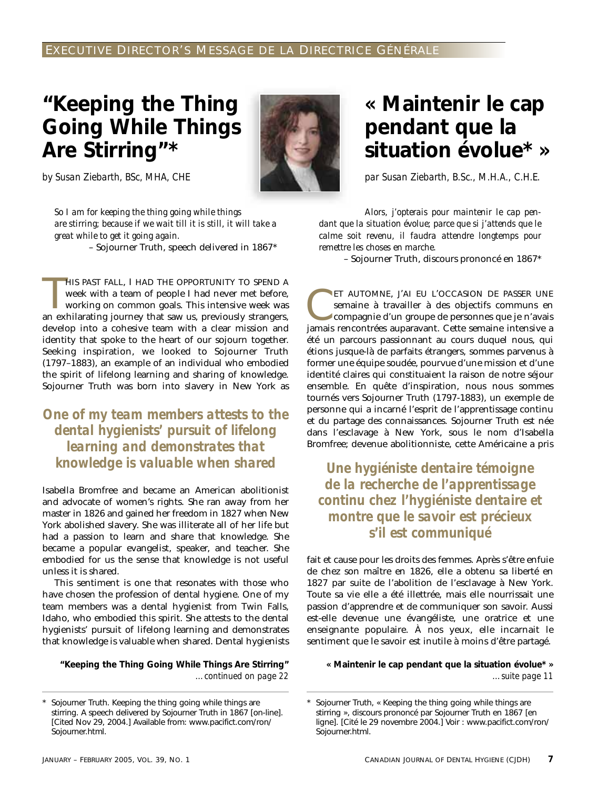# **"Keeping the Thing Going While Things Are Stirring"\***



*by Susan Ziebarth, BSc, MHA, CHE*

*So I am for keeping the thing going while things are stirring; because if we wait till it is still, it will take a great while to get it going again.* – Sojourner Truth, speech delivered in 1867\*

HIS PAST FALL, I HAD THE OPPORTUNITY TO SPEND A week with a team of people I had never met before, working on common goals. This intensive week was an exhilarating journey that saw us, previously strangers, HIS PAST FALL, I HAD THE OPPORTUNITY TO SPEND A week with a team of people I had never met before, working on common goals. This intensive week was develop into a cohesive team with a clear mission and identity that spoke to the heart of our sojourn together. Seeking inspiration, we looked to Sojourner Truth (1797–1883), an example of an individual who embodied the spirit of lifelong learning and sharing of knowledge. Sojourner Truth was born into slavery in New York as

### *One of my team members attests to the dental hygienists' pursuit of lifelong learning and demonstrates that knowledge is valuable when shared Une hygiéniste dentaire témoigne*

Isabella Bromfree and became an American abolitionist and advocate of women's rights. She ran away from her master in 1826 and gained her freedom in 1827 when New York abolished slavery. She was illiterate all of her life but had a passion to learn and share that knowledge. She became a popular evangelist, speaker, and teacher. She embodied for us the sense that knowledge is not useful unless it is shared.

This sentiment is one that resonates with those who have chosen the profession of dental hygiene. One of my team members was a dental hygienist from Twin Falls, Idaho, who embodied this spirit. She attests to the dental hygienists' pursuit of lifelong learning and demonstrates that knowledge is valuable when shared. Dental hygienists

**"Keeping the Thing Going While Things Are Stirring"** *…continued on page 22*

# **« Maintenir le cap pendant que la situation évolue\* »**

*par Susan Ziebarth, B.Sc., M.H.A., C.H.E.*

*Alors, j'opterais pour maintenir le cap pendant que la situation évolue; parce que si j'attends que le calme soit revenu, il faudra attendre longtemps pour remettre les choses en marche.*

– Sojourner Truth, discours prononcé en 1867\*

ET AUTOMNE, J'AI EU L'OCCASION DE PASSER UNE<br>semaine à travailler à des objectifs communs en<br>compagnie d'un groupe de personnes que je n'avais<br>jamais rencontrées aunaravant Cette semaine intensive a semaine à travailler à des objectifs communs en compagnie d'un groupe de personnes que je n'avais jamais rencontrées auparavant. Cette semaine intensive a été un parcours passionnant au cours duquel nous, qui étions jusque-là de parfaits étrangers, sommes parvenus à former une équipe soudée, pourvue d'une mission et d'une identité claires qui constituaient la raison de notre séjour ensemble. En quête d'inspiration, nous nous sommes tournés vers Sojourner Truth (1797-1883), un exemple de personne qui a incarné l'esprit de l'apprentissage continu et du partage des connaissances. Sojourner Truth est née dans l'esclavage à New York, sous le nom d'Isabella Bromfree; devenue abolitionniste, cette Américaine a pris

*de la recherche de l'apprentissage continu chez l'hygiéniste dentaire et montre que le savoir est précieux s'il est communiqué*

fait et cause pour les droits des femmes. Après s'être enfuie de chez son maître en 1826, elle a obtenu sa liberté en 1827 par suite de l'abolition de l'esclavage à New York. Toute sa vie elle a été illettrée, mais elle nourrissait une passion d'apprendre et de communiquer son savoir. Aussi est-elle devenue une évangéliste, une oratrice et une enseignante populaire. À nos yeux, elle incarnait le sentiment que le savoir est inutile à moins d'être partagé.

**« Maintenir le cap pendant que la situation évolue\* »** *…suite page 11*

Sojourner Truth. Keeping the thing going while things are stirring. A speech delivered by Sojourner Truth in 1867 [on-line]. [Cited Nov 29, 2004.] Available from: www.pacifict.com/ron/ Sojourner.html.

Sojourner Truth, « Keeping the thing going while things are stirring », discours prononcé par Sojourner Truth en 1867 [en ligne]. [Cité le 29 novembre 2004.] Voir : www.pacifict.com/ron/ Sojourner.html.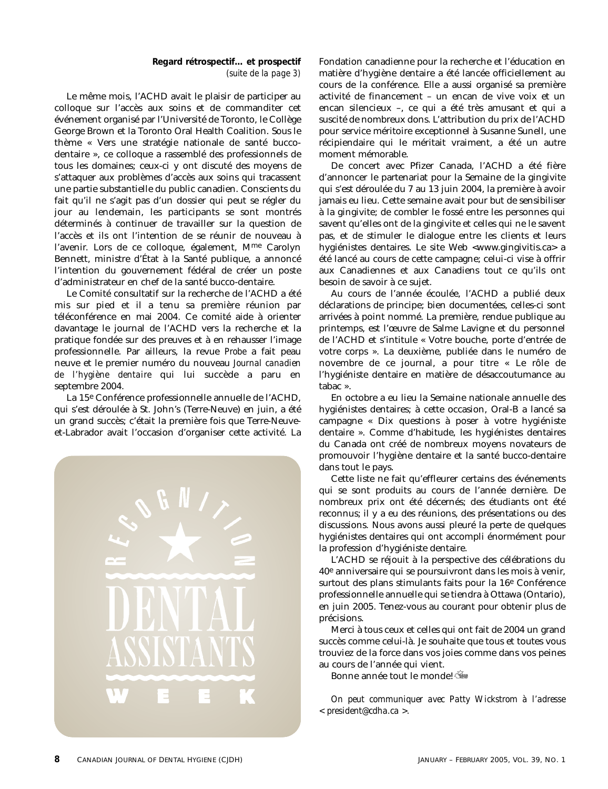### **Regard rétrospectif… et prospectif** *(suite de la page 3)*

Le même mois, l'ACHD avait le plaisir de participer au colloque sur l'accès aux soins et de commanditer cet événement organisé par l'Université de Toronto, le Collège George Brown et la Toronto Oral Health Coalition. Sous le thème « Vers une stratégie nationale de santé buccodentaire », ce colloque a rassemblé des professionnels de tous les domaines; ceux-ci y ont discuté des moyens de s'attaquer aux problèmes d'accès aux soins qui tracassent une partie substantielle du public canadien. Conscients du fait qu'il ne s'agit pas d'un dossier qui peut se régler du jour au lendemain, les participants se sont montrés déterminés à continuer de travailler sur la question de l'accès et ils ont l'intention de se réunir de nouveau à l'avenir. Lors de ce colloque, également, Mme Carolyn Bennett, ministre d'État à la Santé publique, a annoncé l'intention du gouvernement fédéral de créer un poste d'administrateur en chef de la santé bucco-dentaire.

Le Comité consultatif sur la recherche de l'ACHD a été mis sur pied et il a tenu sa première réunion par téléconférence en mai 2004. Ce comité aide à orienter davantage le journal de l'ACHD vers la recherche et la pratique fondée sur des preuves et à en rehausser l'image professionnelle. Par ailleurs, la revue *Probe* a fait peau neuve et le premier numéro du nouveau *Journal canadien de l'hygiène dentaire* qui lui succède a paru en septembre 2004.

La 15e Conférence professionnelle annuelle de l'ACHD, qui s'est déroulée à St. John's (Terre-Neuve) en juin, a été un grand succès; c'était la première fois que Terre-Neuveet-Labrador avait l'occasion d'organiser cette activité. La



Fondation canadienne pour la recherche et l'éducation en matière d'hygiène dentaire a été lancée officiellement au cours de la conférence. Elle a aussi organisé sa première activité de financement – un encan de vive voix et un encan silencieux –, ce qui a été très amusant et qui a suscité de nombreux dons. L'attribution du prix de l'ACHD pour service méritoire exceptionnel à Susanne Sunell, une récipiendaire qui le méritait vraiment, a été un autre moment mémorable.

De concert avec Pfizer Canada, l'ACHD a été fière d'annoncer le partenariat pour la Semaine de la gingivite qui s'est déroulée du 7 au 13 juin 2004, la première à avoir jamais eu lieu. Cette semaine avait pour but de sensibiliser à la gingivite; de combler le fossé entre les personnes qui savent qu'elles ont de la gingivite et celles qui ne le savent pas, et de stimuler le dialogue entre les clients et leurs hygiénistes dentaires. Le site Web <www.gingivitis.ca> a été lancé au cours de cette campagne; celui-ci vise à offrir aux Canadiennes et aux Canadiens tout ce qu'ils ont besoin de savoir à ce sujet.

Au cours de l'année écoulée, l'ACHD a publié deux déclarations de principe; bien documentées, celles-ci sont arrivées à point nommé. La première, rendue publique au printemps, est l'œuvre de Salme Lavigne et du personnel de l'ACHD et s'intitule « Votre bouche, porte d'entrée de votre corps ». La deuxième, publiée dans le numéro de novembre de ce journal, a pour titre « Le rôle de l'hygiéniste dentaire en matière de désaccoutumance au tabac ».

En octobre a eu lieu la Semaine nationale annuelle des hygiénistes dentaires; à cette occasion, Oral-B a lancé sa campagne « Dix questions à poser à votre hygiéniste dentaire ». Comme d'habitude, les hygiénistes dentaires du Canada ont créé de nombreux moyens novateurs de promouvoir l'hygiène dentaire et la santé bucco-dentaire dans tout le pays.

Cette liste ne fait qu'effleurer certains des événements qui se sont produits au cours de l'année dernière. De nombreux prix ont été décernés; des étudiants ont été reconnus; il y a eu des réunions, des présentations ou des discussions. Nous avons aussi pleuré la perte de quelques hygiénistes dentaires qui ont accompli énormément pour la profession d'hygiéniste dentaire.

L'ACHD se réjouit à la perspective des célébrations du 40e anniversaire qui se poursuivront dans les mois à venir, surtout des plans stimulants faits pour la 16e Conférence professionnelle annuelle qui se tiendra à Ottawa (Ontario), en juin 2005. Tenez-vous au courant pour obtenir plus de précisions.

Merci à tous ceux et celles qui ont fait de 2004 un grand succès comme celui-là. Je souhaite que tous et toutes vous trouviez de la force dans vos joies comme dans vos peines au cours de l'année qui vient.

Bonne année tout le monde!

*On peut communiquer avec Patty Wickstrom à l'adresse < president@cdha.ca >.*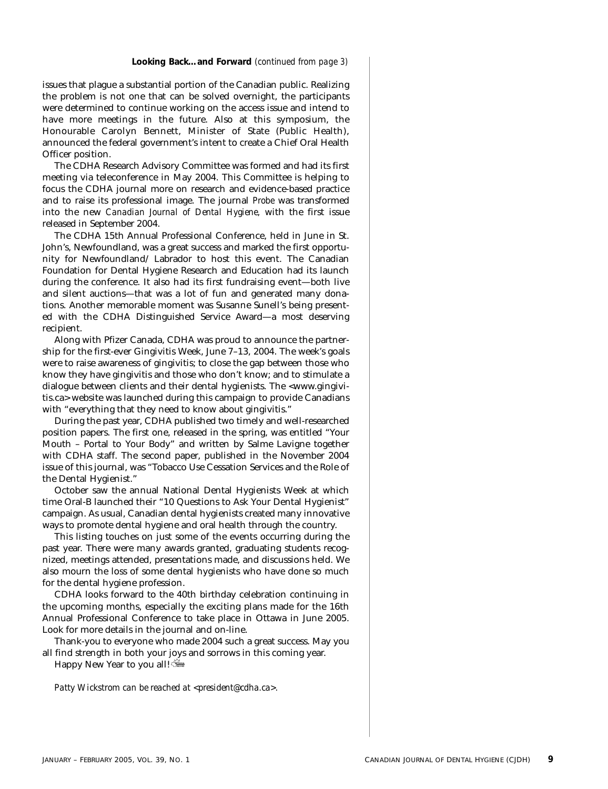issues that plague a substantial portion of the Canadian public. Realizing the problem is not one that can be solved overnight, the participants were determined to continue working on the access issue and intend to have more meetings in the future. Also at this symposium, the Honourable Carolyn Bennett, Minister of State (Public Health), announced the federal government's intent to create a Chief Oral Health Officer position.

The CDHA Research Advisory Committee was formed and had its first meeting via teleconference in May 2004. This Committee is helping to focus the CDHA journal more on research and evidence-based practice and to raise its professional image. The journal *Probe* was transformed into the new *Canadian Journal of Dental Hygiene,* with the first issue released in September 2004.

The CDHA 15th Annual Professional Conference, held in June in St. John's, Newfoundland, was a great success and marked the first opportunity for Newfoundland/ Labrador to host this event. The Canadian Foundation for Dental Hygiene Research and Education had its launch during the conference. It also had its first fundraising event—both live and silent auctions—that was a lot of fun and generated many donations. Another memorable moment was Susanne Sunell's being presented with the CDHA Distinguished Service Award—a most deserving recipient.

Along with Pfizer Canada, CDHA was proud to announce the partnership for the first-ever Gingivitis Week, June 7–13, 2004. The week's goals were to raise awareness of gingivitis; to close the gap between those who know they have gingivitis and those who don't know; and to stimulate a dialogue between clients and their dental hygienists. The <www.gingivitis.ca> website was launched during this campaign to provide Canadians with "everything that they need to know about gingivitis."

During the past year, CDHA published two timely and well-researched position papers. The first one, released in the spring, was entitled "Your Mouth – Portal to Your Body" and written by Salme Lavigne together with CDHA staff. The second paper, published in the November 2004 issue of this journal, was "Tobacco Use Cessation Services and the Role of the Dental Hygienist."

October saw the annual National Dental Hygienists Week at which time Oral-B launched their "10 Questions to Ask Your Dental Hygienist" campaign. As usual, Canadian dental hygienists created many innovative ways to promote dental hygiene and oral health through the country.

This listing touches on just some of the events occurring during the past year. There were many awards granted, graduating students recognized, meetings attended, presentations made, and discussions held. We also mourn the loss of some dental hygienists who have done so much for the dental hygiene profession.

CDHA looks forward to the 40th birthday celebration continuing in the upcoming months, especially the exciting plans made for the 16th Annual Professional Conference to take place in Ottawa in June 2005. Look for more details in the journal and on-line.

Thank-you to everyone who made 2004 such a great success. May you all find strength in both your joys and sorrows in this coming year. Happy New Year to you all!

*Patty Wickstrom can be reached at <president@cdha.ca>.*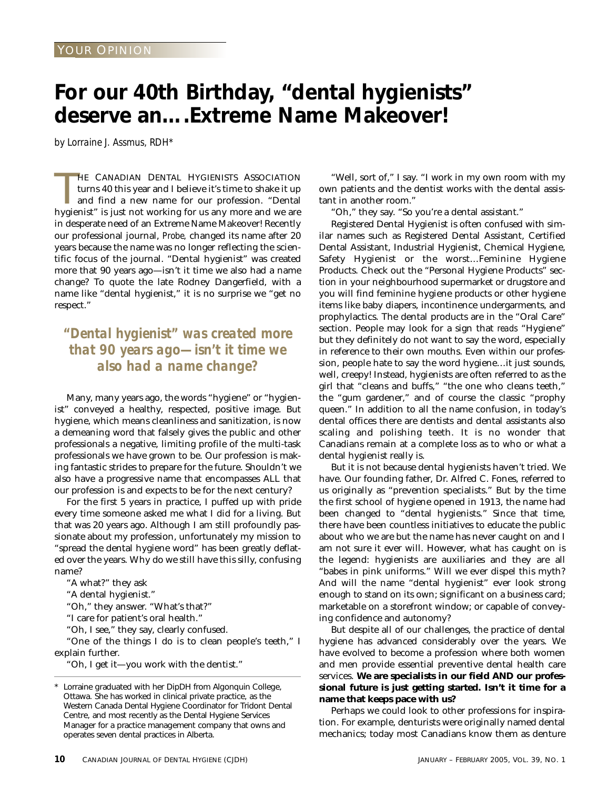## **For our 40th Birthday, "dental hygienists" deserve an….Extreme Name Makeover!**

*by Lorraine J. Assmus, RDH\**

HE CANADIAN DENTAL HYGIENISTS ASSOCIATION<br>turns 40 this year and I believe it's time to shake it up<br>and find a new name for our profession. "Dental<br>hygienist" is just not working for us any more and we are HE CANADIAN DENTAL HYGIENISTS ASSOCIATION turns 40 this year and I believe it's time to shake it up and find a new name for our profession. "Dental in desperate need of an Extreme Name Makeover! Recently our professional journal, *Probe,* changed its name after 20 years because the name was no longer reflecting the scientific focus of the journal. "Dental hygienist" was created more that 90 years ago—isn't it time we also had a name change? To quote the late Rodney Dangerfield, with a name like "dental hygienist," it is no surprise we "get no respect."

### *"Dental hygienist" was created more that 90 years ago—isn't it time we also had a name change?*

Many, many years ago, the words "hygiene" or "hygienist" conveyed a healthy, respected, positive image. But hygiene, which means cleanliness and sanitization, is now a demeaning word that falsely gives the public and other professionals a negative, limiting profile of the multi-task professionals we have grown to be. Our profession is making fantastic strides to prepare for the future. Shouldn't we also have a progressive name that encompasses ALL that our profession is and expects to be for the next century?

For the first 5 years in practice, I puffed up with pride every time someone asked me what I did for a living. But that was 20 years ago. Although I am still profoundly passionate about my profession, unfortunately my mission to "spread the dental hygiene word" has been greatly deflated over the years. Why do we still have this silly, confusing name?

"A what?" they ask

"A dental hygienist."

"Oh," they answer. "What's that?"

"I care for patient's oral health."

"Oh, I see," they say, clearly confused.

"One of the things I do is to clean people's teeth," I explain further.

"Oh, I get it—you work with the dentist."

"Well, sort of," I say. "I work in my own room with my own patients and the dentist works with the dental assistant in another room."

"Oh," they say. "So you're a dental assistant."

Registered Dental Hygienist is often confused with similar names such as Registered Dental Assistant, Certified Dental Assistant, Industrial Hygienist, Chemical Hygiene, Safety Hygienist or the worst…Feminine Hygiene Products. Check out the "Personal Hygiene Products" section in your neighbourhood supermarket or drugstore and you will find feminine hygiene products or other hygiene items like baby diapers, incontinence undergarments, and prophylactics. The dental products are in the "Oral Care" section. People may look for a sign that *reads* "Hygiene" but they definitely do not want to say the word, especially in reference to their own mouths. Even within our profession, people hate to say the word hygiene…it just sounds, well, creepy! Instead, hygienists are often referred to as the girl that "cleans and buffs," "the one who cleans teeth," the "gum gardener," and of course the classic "prophy queen." In addition to all the name confusion, in today's dental offices there are dentists and dental assistants also scaling and polishing teeth. It is no wonder that Canadians remain at a complete loss as to who or what a dental hygienist really is.

But it is not because dental hygienists haven't tried. We have. Our founding father, Dr. Alfred C. Fones, referred to us originally as "prevention specialists." But by the time the first school of hygiene opened in 1913, the name had been changed to "dental hygienists." Since that time, there have been countless initiatives to educate the public about who we are but the name has never caught on and I am not sure it ever will. However, what *has* caught on is the legend: hygienists are auxiliaries and they are all "babes in pink uniforms." Will we ever dispel this myth? And will the name "dental hygienist" ever look strong enough to stand on its own; significant on a business card; marketable on a storefront window; or capable of conveying confidence and autonomy?

But despite all of our challenges, the practice of dental hygiene has advanced considerably over the years. We have evolved to become a profession where both women and men provide essential preventive dental health care services. **We are specialists in our field AND our professional future is just getting started. Isn't it time for a name that keeps pace with us?**

Perhaps we could look to other professions for inspiration. For example, denturists were originally named dental mechanics; today most Canadians know them as denture

Lorraine graduated with her DipDH from Algonquin College, Ottawa. She has worked in clinical private practice, as the Western Canada Dental Hygiene Coordinator for Tridont Dental Centre, and most recently as the Dental Hygiene Services Manager for a practice management company that owns and operates seven dental practices in Alberta.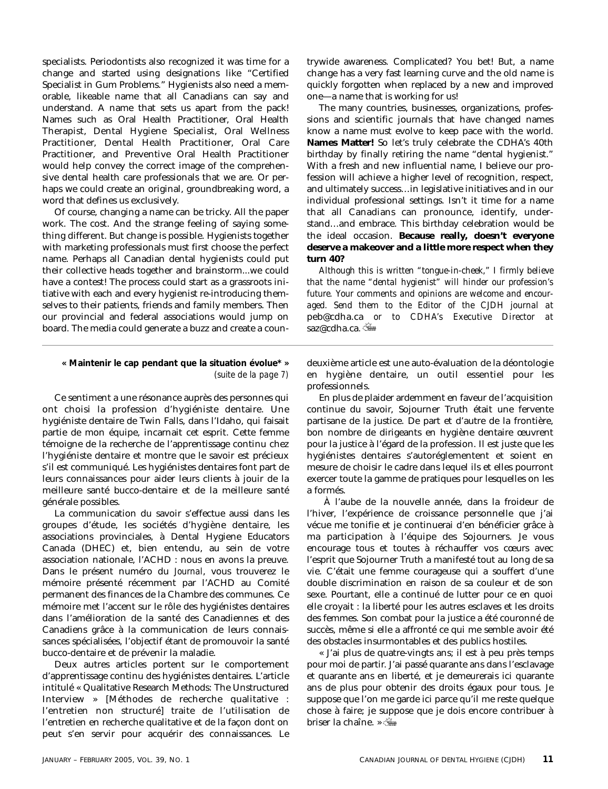specialists. Periodontists also recognized it was time for a change and started using designations like "Certified Specialist in Gum Problems." Hygienists also need a memorable, likeable name that all Canadians can say and understand. A name that sets us apart from the pack! Names such as Oral Health Practitioner, Oral Health Therapist, Dental Hygiene Specialist, Oral Wellness Practitioner, Dental Health Practitioner, Oral Care Practitioner, and Preventive Oral Health Practitioner would help convey the correct image of the comprehensive dental health care professionals that we are. Or perhaps we could create an original, groundbreaking word, a word that defines us exclusively.

Of course, changing a name can be tricky. All the paper work. The cost. And the strange feeling of saying something different. But change is possible. Hygienists together with marketing professionals must first choose the perfect name. Perhaps all Canadian dental hygienists could put their collective heads together and brainstorm...we could have a contest! The process could start as a grassroots initiative with each and every hygienist re-introducing themselves to their patients, friends and family members. Then our provincial and federal associations would jump on board. The media could generate a buzz and create a coun-

trywide awareness. Complicated? You bet! But, a name change has a very fast learning curve and the old name is quickly forgotten when replaced by a new and improved one—a name that is working for us!

The many countries, businesses, organizations, professions and scientific journals that have changed names know a name must evolve to keep pace with the world. **Names Matter!** So let's truly celebrate the CDHA's 40th birthday by finally retiring the name "dental hygienist." With a fresh and new influential name, I believe our profession will achieve a higher level of recognition, respect, and ultimately success…in legislative initiatives and in our individual professional settings. Isn't it time for a name that all Canadians can pronounce, identify, understand…and embrace. This birthday celebration would be the ideal occasion. **Because really, doesn't everyone deserve a makeover and a little more respect when they turn 40?**

*Although this is written "tongue-in-cheek," I firmly believe that the name "dental hygienist" will hinder our profession's future. Your comments and opinions are welcome and encouraged. Send them to the Editor of the CJDH journal at* peb@cdha.ca *or to CDHA's Executive Director at* saz@cdha.ca*.*

### **« Maintenir le cap pendant que la situation évolue\* »** *(suite de la page 7)*

Ce sentiment a une résonance auprès des personnes qui ont choisi la profession d'hygiéniste dentaire. Une hygiéniste dentaire de Twin Falls, dans l'Idaho, qui faisait partie de mon équipe, incarnait cet esprit. Cette femme témoigne de la recherche de l'apprentissage continu chez l'hygiéniste dentaire et montre que le savoir est précieux s'il est communiqué. Les hygiénistes dentaires font part de leurs connaissances pour aider leurs clients à jouir de la meilleure santé bucco-dentaire et de la meilleure santé générale possibles.

La communication du savoir s'effectue aussi dans les groupes d'étude, les sociétés d'hygiène dentaire, les associations provinciales, à Dental Hygiene Educators Canada (DHEC) et, bien entendu, au sein de votre association nationale, l'ACHD : nous en avons la preuve. Dans le présent numéro du *Journal*, vous trouverez le mémoire présenté récemment par l'ACHD au Comité permanent des finances de la Chambre des communes. Ce mémoire met l'accent sur le rôle des hygiénistes dentaires dans l'amélioration de la santé des Canadiennes et des Canadiens grâce à la communication de leurs connaissances spécialisées, l'objectif étant de promouvoir la santé bucco-dentaire et de prévenir la maladie.

Deux autres articles portent sur le comportement d'apprentissage continu des hygiénistes dentaires. L'article intitulé « Qualitative Research Methods: The Unstructured Interview » [Méthodes de recherche qualitative : l'entretien non structuré] traite de l'utilisation de l'entretien en recherche qualitative et de la façon dont on peut s'en servir pour acquérir des connaissances. Le

deuxième article est une auto-évaluation de la déontologie en hygiène dentaire, un outil essentiel pour les professionnels.

En plus de plaider ardemment en faveur de l'acquisition continue du savoir, Sojourner Truth était une fervente partisane de la justice. De part et d'autre de la frontière, bon nombre de dirigeants en hygiène dentaire œuvrent pour la justice à l'égard de la profession. Il est juste que les hygiénistes dentaires s'autoréglementent et soient en mesure de choisir le cadre dans lequel ils et elles pourront exercer toute la gamme de pratiques pour lesquelles on les a formés.

À l'aube de la nouvelle année, dans la froideur de l'hiver, l'expérience de croissance personnelle que j'ai vécue me tonifie et je continuerai d'en bénéficier grâce à ma participation à l'équipe des Sojourners. Je vous encourage tous et toutes à réchauffer vos cœurs avec l'esprit que Sojourner Truth a manifesté tout au long de sa vie. C'était une femme courageuse qui a souffert d'une double discrimination en raison de sa couleur et de son sexe. Pourtant, elle a continué de lutter pour ce en quoi elle croyait : la liberté pour les autres esclaves et les droits des femmes. Son combat pour la justice a été couronné de succès, même si elle a affronté ce qui me semble avoir été des obstacles insurmontables et des publics hostiles.

« J'ai plus de quatre-vingts ans; il est à peu près temps pour moi de partir. J'ai passé quarante ans dans l'esclavage et quarante ans en liberté, et je demeurerais ici quarante ans de plus pour obtenir des droits égaux pour tous. Je suppose que l'on me garde ici parce qu'il me reste quelque chose à faire; je suppose que je dois encore contribuer à briser la chaîne. »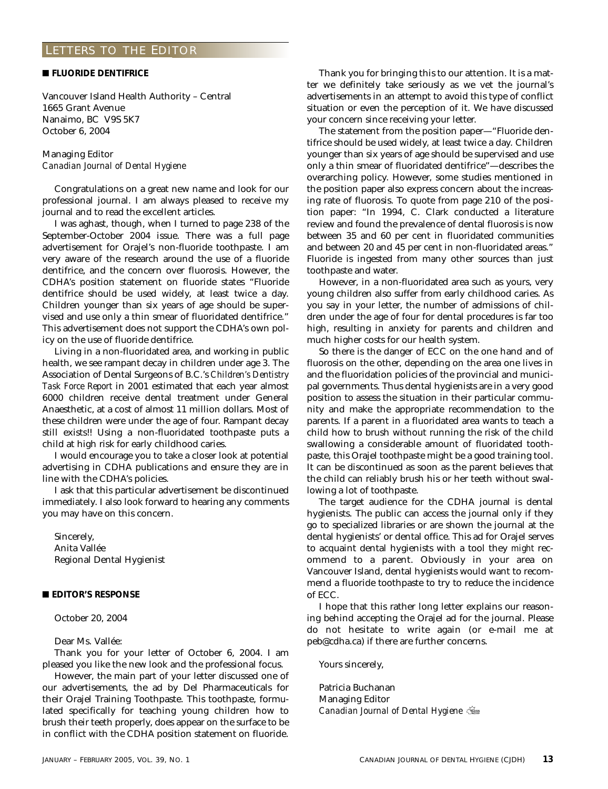### LETTERS TO THE EDITOR

#### ■ **FLUORIDE DENTIFRICE**

Vancouver Island Health Authority – Central 1665 Grant Avenue Nanaimo, BC V9S 5K7 October 6, 2004

### Managing Editor *Canadian Journal of Dental Hygiene*

Congratulations on a great new name and look for our professional journal. I am always pleased to receive my journal and to read the excellent articles.

I was aghast, though, when I turned to page 238 of the September-October 2004 issue. There was a full page advertisement for Orajel's non-fluoride toothpaste. I am very aware of the research around the use of a fluoride dentifrice, and the concern over fluorosis. However, the CDHA's position statement on fluoride states "Fluoride dentifrice should be used widely, at least twice a day. Children younger than six years of age should be supervised and use only a thin smear of fluoridated dentifrice." This advertisement does not support the CDHA's own policy on the use of fluoride dentifrice.

Living in a non-fluoridated area, and working in public health, we see rampant decay in children under age 3. The Association of Dental Surgeons of B.C.'s *Children's Dentistry Task Force Report* in 2001 estimated that each year almost 6000 children receive dental treatment under General Anaesthetic, at a cost of almost 11 million dollars. Most of these children were under the age of four. Rampant decay still exists!! Using a non-fluoridated toothpaste puts a child at high risk for early childhood caries.

I would encourage you to take a closer look at potential advertising in CDHA publications and ensure they are in line with the CDHA's policies.

I ask that this particular advertisement be discontinued immediately. I also look forward to hearing any comments you may have on this concern.

Sincerely, Anita Vallée Regional Dental Hygienist

### ■ **EDITOR'S RESPONSE**

### October 20, 2004

Dear Ms. Vallée:

Thank you for your letter of October 6, 2004. I am pleased you like the new look and the professional focus.

However, the main part of your letter discussed one of our advertisements, the ad by Del Pharmaceuticals for their Orajel Training Toothpaste. This toothpaste, formulated specifically for teaching young children how to brush their teeth properly, does appear on the surface to be in conflict with the CDHA position statement on fluoride.

Thank you for bringing this to our attention. It is a matter we definitely take seriously as we vet the journal's advertisements in an attempt to avoid this type of conflict situation or even the perception of it. We have discussed your concern since receiving your letter.

The statement from the position paper—"Fluoride dentifrice should be used widely, at least twice a day. Children younger than six years of age should be supervised and use only a thin smear of fluoridated dentifrice"—describes the overarching policy. However, some studies mentioned in the position paper also express concern about the increasing rate of fluorosis. To quote from page 210 of the position paper: "In 1994, C. Clark conducted a literature review and found the prevalence of dental fluorosis is now between 35 and 60 per cent in fluoridated communities and between 20 and 45 per cent in non-fluoridated areas." Fluoride is ingested from many other sources than just toothpaste and water.

However, in a non-fluoridated area such as yours, very young children also suffer from early childhood caries. As you say in your letter, the number of admissions of children under the age of four for dental procedures is far too high, resulting in anxiety for parents and children and much higher costs for our health system.

So there is the danger of ECC on the one hand and of fluorosis on the other, depending on the area one lives in and the fluoridation policies of the provincial and municipal governments. Thus dental hygienists are in a very good position to assess the situation in their particular community and make the appropriate recommendation to the parents. If a parent in a fluoridated area wants to teach a child how to brush without running the risk of the child swallowing a considerable amount of fluoridated toothpaste, this Orajel toothpaste might be a good training tool. It can be discontinued as soon as the parent believes that the child can reliably brush his or her teeth without swallowing a lot of toothpaste.

The target audience for the CDHA journal is dental hygienists. The public can access the journal only if they go to specialized libraries or are shown the journal at the dental hygienists' or dental office. This ad for Orajel serves to acquaint dental hygienists with a tool they *might* recommend to a parent. Obviously in your area on Vancouver Island, dental hygienists would want to recommend a fluoride toothpaste to try to reduce the incidence of ECC.

I hope that this rather long letter explains our reasoning behind accepting the Orajel ad for the journal. Please do not hesitate to write again (or e-mail me at peb@cdha.ca) if there are further concerns.

Yours sincerely,

Patricia Buchanan Managing Editor *Canadian Journal of Dental Hygiene*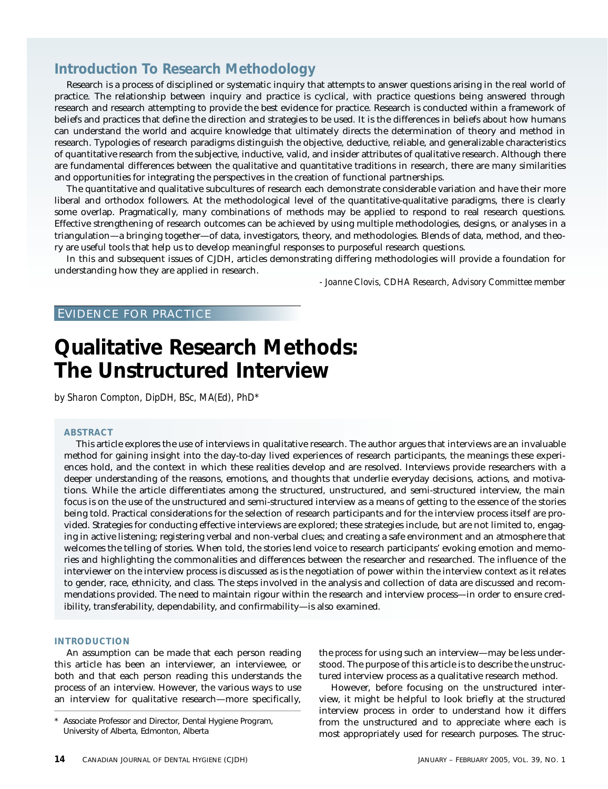### **Introduction To Research Methodology**

Research is a process of disciplined or systematic inquiry that attempts to answer questions arising in the real world of practice. The relationship between inquiry and practice is cyclical, with practice questions being answered through research and research attempting to provide the best evidence for practice. Research is conducted within a framework of beliefs and practices that define the direction and strategies to be used. It is the differences in beliefs about how humans can understand the world and acquire knowledge that ultimately directs the determination of theory and method in research. Typologies of research paradigms distinguish the objective, deductive, reliable, and generalizable characteristics of quantitative research from the subjective, inductive, valid, and insider attributes of qualitative research. Although there are fundamental differences between the qualitative and quantitative traditions in research, there are many similarities and opportunities for integrating the perspectives in the creation of functional partnerships.

The quantitative and qualitative subcultures of research each demonstrate considerable variation and have their more liberal and orthodox followers. At the methodological level of the quantitative-qualitative paradigms, there is clearly some overlap. Pragmatically, many combinations of methods may be applied to respond to real research questions. Effective strengthening of research outcomes can be achieved by using multiple methodologies, designs, or analyses in a triangulation—a bringing together—of data, investigators, theory, and methodologies. Blends of data, method, and theory are useful tools that help us to develop meaningful responses to purposeful research questions.

In this and subsequent issues of CJDH, articles demonstrating differing methodologies will provide a foundation for understanding how they are applied in research.

*- Joanne Clovis, CDHA Research, Advisory Committee member*

### EVIDENCE FOR PRACTICE

## **Qualitative Research Methods: The Unstructured Interview**

*by Sharon Compton, DipDH, BSc, MA(Ed), PhD\**

#### **ABSTRACT**

This article explores the use of interviews in qualitative research. The author argues that interviews are an invaluable method for gaining insight into the day-to-day lived experiences of research participants, the meanings these experiences hold, and the context in which these realities develop and are resolved. Interviews provide researchers with a deeper understanding of the reasons, emotions, and thoughts that underlie everyday decisions, actions, and motivations. While the article differentiates among the structured, unstructured, and semi-structured interview, the main focus is on the use of the unstructured and semi-structured interview as a means of getting to the essence of the stories being told. Practical considerations for the selection of research participants and for the interview process itself are provided. Strategies for conducting effective interviews are explored; these strategies include, but are not limited to, engaging in active listening; registering verbal and non-verbal clues; and creating a safe environment and an atmosphere that welcomes the telling of stories. When told, the stories lend voice to research participants' evoking emotion and memories and highlighting the commonalities and differences between the researcher and researched. The influence of the interviewer on the interview process is discussed as is the negotiation of power within the interview context as it relates to gender, race, ethnicity, and class. The steps involved in the analysis and collection of data are discussed and recommendations provided. The need to maintain rigour within the research and interview process—in order to ensure credibility, transferability, dependability, and confirmability—is also examined.

### **INTRODUCTION**

An assumption can be made that each person reading this article has been an interviewer, an interviewee, or both and that each person reading this understands the process of an interview. However, the various ways to use an interview for qualitative research—more specifically,

the *process* for using such an interview—may be less understood. The purpose of this article is to describe the unstructured interview process as a qualitative research method.

However, before focusing on the unstructured interview, it might be helpful to look briefly at the *structured* interview process in order to understand how it differs from the unstructured and to appreciate where each is most appropriately used for research purposes. The struc-

Associate Professor and Director, Dental Hygiene Program, University of Alberta, Edmonton, Alberta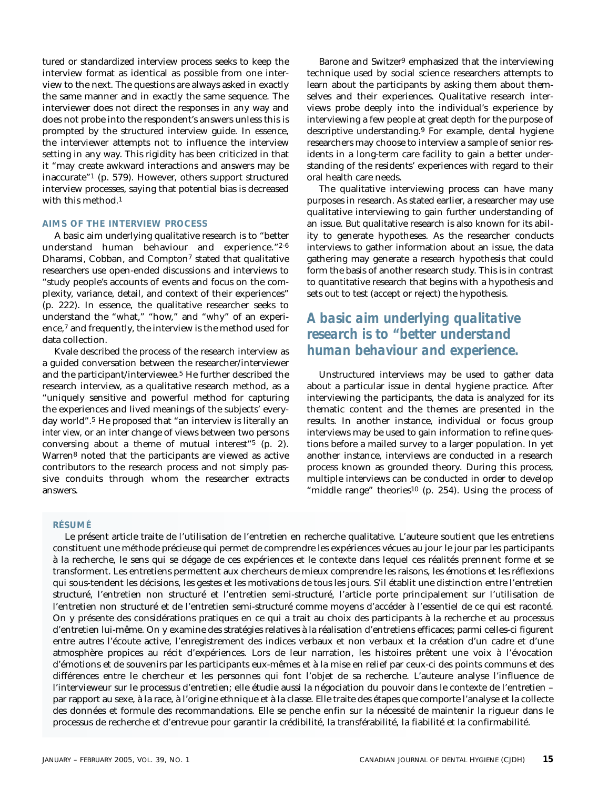tured or standardized interview process seeks to keep the interview format as identical as possible from one interview to the next. The questions are always asked in exactly the same manner and in exactly the same sequence. The interviewer does not direct the responses in any way and does not probe into the respondent's answers unless this is prompted by the structured interview guide. In essence, the interviewer attempts not to influence the interview setting in any way. This rigidity has been criticized in that it "may create awkward interactions and answers may be inaccurate"1 (p. 579). However, others support structured interview processes, saying that potential bias is decreased with this method.<sup>1</sup>

#### **AIMS OF THE INTERVIEW PROCESS**

A basic aim underlying qualitative research is to "better understand human behaviour and experience."2-6 Dharamsi, Cobban, and Compton7 stated that qualitative researchers use open-ended discussions and interviews to "study people's accounts of events and focus on the complexity, variance, detail, and context of their experiences" (p. 222). In essence, the qualitative researcher seeks to understand the "what," "how," and "why" of an experience,7 and frequently, the interview is the method used for data collection.

Kvale described the process of the research interview as a guided conversation between the researcher/interviewer and the participant/interviewee.5 He further described the research interview, as a qualitative research method, as a "uniquely sensitive and powerful method for capturing the experiences and lived meanings of the subjects' everyday world".5 He proposed that "an interview is literally an *inter view,* or an inter change of views between two persons conversing about a theme of mutual interest"5 (p. 2). Warren8 noted that the participants are viewed as active contributors to the research process and not simply passive conduits through whom the researcher extracts answers.

Barone and Switzer9 emphasized that the interviewing technique used by social science researchers attempts to learn about the participants by asking them about themselves and their experiences. Qualitative research interviews probe deeply into the individual's experience by interviewing a few people at great depth for the purpose of descriptive understanding.9 For example, dental hygiene researchers may choose to interview a sample of senior residents in a long-term care facility to gain a better understanding of the residents' experiences with regard to their oral health care needs.

The qualitative interviewing process can have many purposes in research. As stated earlier, a researcher may use qualitative interviewing to gain further understanding of an issue. But qualitative research is also known for its ability to generate hypotheses. As the researcher conducts interviews to gather information about an issue, the data gathering may generate a research hypothesis that could form the basis of another research study. This is in contrast to quantitative research that begins with a hypothesis and sets out to test (accept or reject) the hypothesis.

### *A basic aim underlying qualitative research is to "better understand human behaviour and experience.*

Unstructured interviews may be used to gather data about a particular issue in dental hygiene practice. After interviewing the participants, the data is analyzed for its thematic content and the themes are presented in the results. In another instance, individual or focus group interviews may be used to gain information to refine questions before a mailed survey to a larger population. In yet another instance, interviews are conducted in a research process known as grounded theory. During this process, multiple interviews can be conducted in order to develop "middle range" theories<sup>10</sup> (p. 254). Using the process of

#### **RÉSUMÉ**

Le présent article traite de l'utilisation de l'entretien en recherche qualitative. L'auteure soutient que les entretiens constituent une méthode précieuse qui permet de comprendre les expériences vécues au jour le jour par les participants à la recherche, le sens qui se dégage de ces expériences et le contexte dans lequel ces réalités prennent forme et se transforment. Les entretiens permettent aux chercheurs de mieux comprendre les raisons, les émotions et les réflexions qui sous-tendent les décisions, les gestes et les motivations de tous les jours. S'il établit une distinction entre l'entretien structuré, l'entretien non structuré et l'entretien semi-structuré, l'article porte principalement sur l'utilisation de l'entretien non structuré et de l'entretien semi-structuré comme moyens d'accéder à l'essentiel de ce qui est raconté. On y présente des considérations pratiques en ce qui a trait au choix des participants à la recherche et au processus d'entretien lui-même. On y examine des stratégies relatives à la réalisation d'entretiens efficaces; parmi celles-ci figurent entre autres l'écoute active, l'enregistrement des indices verbaux et non verbaux et la création d'un cadre et d'une atmosphère propices au récit d'expériences. Lors de leur narration, les histoires prêtent une voix à l'évocation d'émotions et de souvenirs par les participants eux-mêmes et à la mise en relief par ceux-ci des points communs et des différences entre le chercheur et les personnes qui font l'objet de sa recherche. L'auteure analyse l'influence de l'intervieweur sur le processus d'entretien; elle étudie aussi la négociation du pouvoir dans le contexte de l'entretien – par rapport au sexe, à la race, à l'origine ethnique et à la classe. Elle traite des étapes que comporte l'analyse et la collecte des données et formule des recommandations. Elle se penche enfin sur la nécessité de maintenir la rigueur dans le processus de recherche et d'entrevue pour garantir la crédibilité, la transférabilité, la fiabilité et la confirmabilité.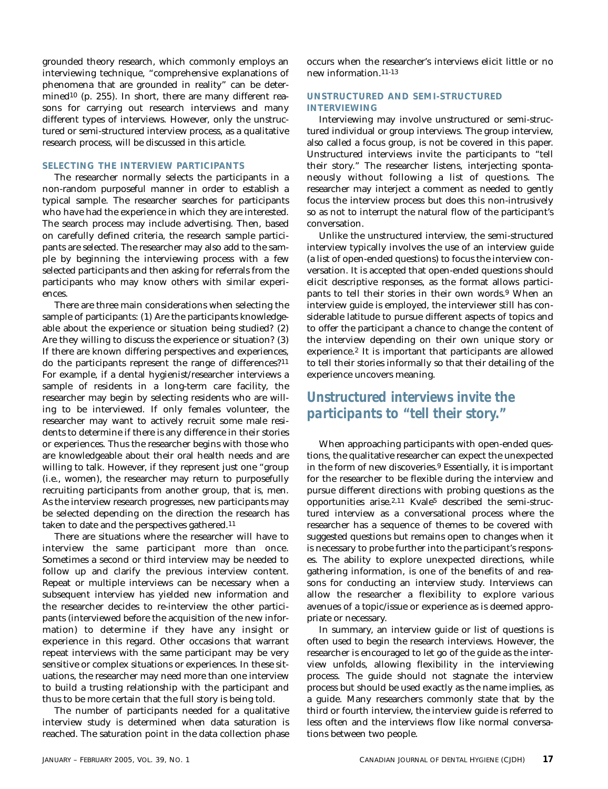grounded theory research, which commonly employs an interviewing technique, "comprehensive explanations of phenomena that are grounded in reality" can be determined<sup>10</sup> (p. 255). In short, there are many different reasons for carrying out research interviews and many different types of interviews. However, only the unstructured or semi-structured interview process, as a qualitative research process, will be discussed in this article.

### **SELECTING THE INTERVIEW PARTICIPANTS**

The researcher normally selects the participants in a non-random purposeful manner in order to establish a typical sample. The researcher searches for participants who have had the experience in which they are interested. The search process may include advertising. Then, based on carefully defined criteria, the research sample participants are selected. The researcher may also add to the sample by beginning the interviewing process with a few selected participants and then asking for referrals from the participants who may know others with similar experiences.

There are three main considerations when selecting the sample of participants: (1) Are the participants knowledgeable about the experience or situation being studied? (2) Are they willing to discuss the experience or situation? (3) If there are known differing perspectives and experiences, do the participants represent the range of differences?11 For example, if a dental hygienist/researcher interviews a sample of residents in a long-term care facility, the researcher may begin by selecting residents who are willing to be interviewed. If only females volunteer, the researcher may want to actively recruit some male residents to determine if there is any difference in their stories or experiences. Thus the researcher begins with those who are knowledgeable about their oral health needs and are willing to talk. However, if they represent just one "group (i.e., women), the researcher may return to purposefully recruiting participants from another group, that is, men. As the interview research progresses, new participants may be selected depending on the direction the research has taken to date and the perspectives gathered.<sup>11</sup>

There are situations where the researcher will have to interview the same participant more than once. Sometimes a second or third interview may be needed to follow up and clarify the previous interview content. Repeat or multiple interviews can be necessary when a subsequent interview has yielded new information and the researcher decides to re-interview the other participants (interviewed before the acquisition of the new information) to determine if they have any insight or experience in this regard. Other occasions that warrant repeat interviews with the same participant may be very sensitive or complex situations or experiences. In these situations, the researcher may need more than one interview to build a trusting relationship with the participant and thus to be more certain that the full story is being told.

The number of participants needed for a qualitative interview study is determined when data saturation is reached. The saturation point in the data collection phase

occurs when the researcher's interviews elicit little or no new information.11-13

### **UNSTRUCTURED AND SEMI-STRUCTURED INTERVIEWING**

Interviewing may involve unstructured or semi-structured individual or group interviews. The group interview, also called a focus group, is not be covered in this paper. Unstructured interviews invite the participants to "tell their story." The researcher listens, interjecting spontaneously without following a list of questions. The researcher may interject a comment as needed to gently focus the interview process but does this non-intrusively so as not to interrupt the natural flow of the participant's conversation.

Unlike the unstructured interview, the semi-structured interview typically involves the use of an interview guide (a list of open-ended questions) to focus the interview conversation. It is accepted that open-ended questions should elicit descriptive responses, as the format allows participants to tell their stories in their own words.9 When an interview guide is employed, the interviewer still has considerable latitude to pursue different aspects of topics and to offer the participant a chance to change the content of the interview depending on their own unique story or experience.2 It is important that participants are allowed to tell their stories informally so that their detailing of the experience uncovers meaning.

### *Unstructured interviews invite the participants to "tell their story."*

When approaching participants with open-ended questions, the qualitative researcher can expect the unexpected in the form of new discoveries.9 Essentially, it is important for the researcher to be flexible during the interview and pursue different directions with probing questions as the opportunities arise.2,11 Kvale5 described the semi-structured interview as a conversational process where the researcher has a sequence of themes to be covered with suggested questions but remains open to changes when it is necessary to probe further into the participant's responses. The ability to explore unexpected directions, while gathering information, is one of the benefits of and reasons for conducting an interview study. Interviews can allow the researcher a flexibility to explore various avenues of a topic/issue or experience as is deemed appropriate or necessary.

In summary, an interview guide or list of questions is often used to begin the research interviews. However, the researcher is encouraged to let go of the guide as the interview unfolds, allowing flexibility in the interviewing process. The guide should not stagnate the interview process but should be used exactly as the name implies, as a guide. Many researchers commonly state that by the third or fourth interview, the interview guide is referred to less often and the interviews flow like normal conversations between two people.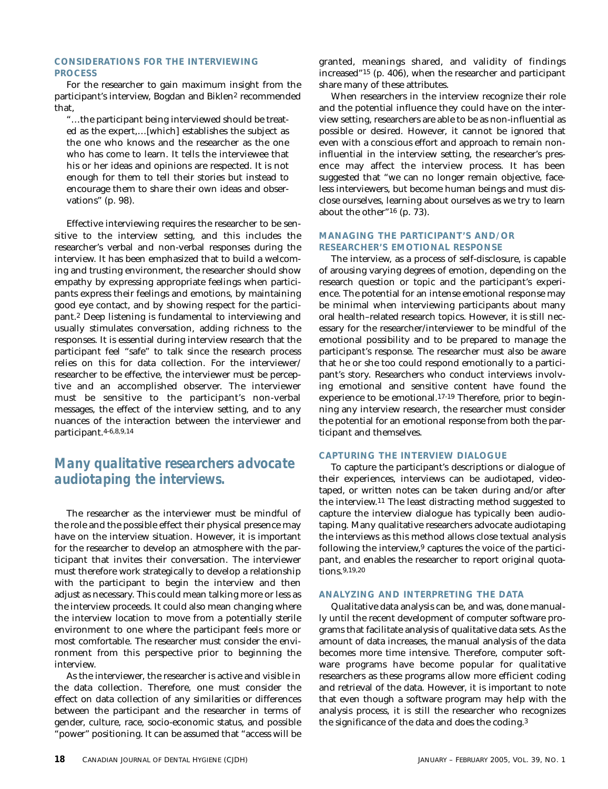### **CONSIDERATIONS FOR THE INTERVIEWING PROCESS**

For the researcher to gain maximum insight from the participant's interview, Bogdan and Biklen<sup>2</sup> recommended that,

"…the participant being interviewed should be treated as the expert,…[which] establishes the subject as the one who knows and the researcher as the one who has come to learn. It tells the interviewee that his or her ideas and opinions are respected. It is not enough for them to tell their stories but instead to encourage them to share their own ideas and observations" (p. 98).

Effective interviewing requires the researcher to be sensitive to the interview setting, and this includes the researcher's verbal and non-verbal responses during the interview. It has been emphasized that to build a welcoming and trusting environment, the researcher should show empathy by expressing appropriate feelings when participants express their feelings and emotions, by maintaining good eye contact, and by showing respect for the participant.2 Deep listening is fundamental to interviewing and usually stimulates conversation, adding richness to the responses. It is essential during interview research that the participant feel "safe" to talk since the research process relies on this for data collection. For the interviewer/ researcher to be effective, the interviewer must be perceptive and an accomplished observer. The interviewer must be sensitive to the participant's non-verbal messages, the effect of the interview setting, and to any nuances of the interaction between the interviewer and participant.4-6,8,9,14

### *Many qualitative researchers advocate audiotaping the interviews.*

The researcher as the interviewer must be mindful of the role and the possible effect their physical presence may have on the interview situation. However, it is important for the researcher to develop an atmosphere with the participant that invites their conversation. The interviewer must therefore work strategically to develop a relationship with the participant to begin the interview and then adjust as necessary. This could mean talking more or less as the interview proceeds. It could also mean changing where the interview location to move from a potentially sterile environment to one where the participant feels more or most comfortable. The researcher must consider the environment from this perspective prior to beginning the interview.

As the interviewer, the researcher is active and visible in the data collection. Therefore, one must consider the effect on data collection of any similarities or differences between the participant and the researcher in terms of gender, culture, race, socio-economic status, and possible "power" positioning. It can be assumed that "access will be granted, meanings shared, and validity of findings increased"15 (p. 406), when the researcher and participant share many of these attributes.

When researchers in the interview recognize their role and the potential influence they could have on the interview setting, researchers are able to be as non-influential as possible or desired. However, it cannot be ignored that even with a conscious effort and approach to remain noninfluential in the interview setting, the researcher's presence may affect the interview process. It has been suggested that "we can no longer remain objective, faceless interviewers, but become human beings and must disclose ourselves, learning about ourselves as we try to learn about the other"16 (p. 73).

### **MANAGING THE PARTICIPANT'S AND/OR RESEARCHER'S EMOTIONAL RESPONSE**

The interview, as a process of self-disclosure, is capable of arousing varying degrees of emotion, depending on the research question or topic and the participant's experience. The potential for an intense emotional response may be minimal when interviewing participants about many oral health–related research topics. However, it is still necessary for the researcher/interviewer to be mindful of the emotional possibility and to be prepared to manage the participant's response. The researcher must also be aware that he or she too could respond emotionally to a participant's story. Researchers who conduct interviews involving emotional and sensitive content have found the experience to be emotional.17-19 Therefore, prior to beginning any interview research, the researcher must consider the potential for an emotional response from both the participant and themselves.

### **CAPTURING THE INTERVIEW DIALOGUE**

To capture the participant's descriptions or dialogue of their experiences, interviews can be audiotaped, videotaped, or written notes can be taken during and/or after the interview.11 The least distracting method suggested to capture the interview dialogue has typically been audiotaping. Many qualitative researchers advocate audiotaping the interviews as this method allows close textual analysis following the interview,<sup>9</sup> captures the voice of the participant, and enables the researcher to report original quotations.9,19,20

### **ANALYZING AND INTERPRETING THE DATA**

Qualitative data analysis can be, and was, done manually until the recent development of computer software programs that facilitate analysis of qualitative data sets. As the amount of data increases, the manual analysis of the data becomes more time intensive. Therefore, computer software programs have become popular for qualitative researchers as these programs allow more efficient coding and retrieval of the data. However, it is important to note that even though a software program may help with the analysis process, it is still the researcher who recognizes the significance of the data and does the coding.3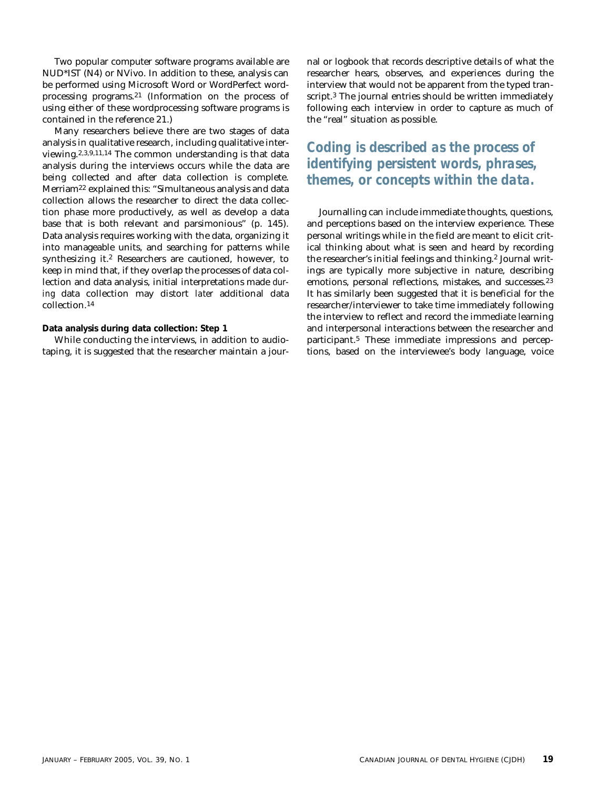Two popular computer software programs available are NUD\*IST (N4) or NVivo. In addition to these, analysis can be performed using Microsoft Word or WordPerfect wordprocessing programs.21 (Information on the process of using either of these wordprocessing software programs is contained in the reference 21.)

Many researchers believe there are two stages of data analysis in qualitative research, including qualitative interviewing.2,3,9,11,14 The common understanding is that data analysis during the interviews occurs while the data are being collected and after data collection is complete. Merriam22 explained this: "Simultaneous analysis and data collection allows the researcher to direct the data collection phase more productively, as well as develop a data base that is both relevant and parsimonious" (p. 145). Data analysis requires working with the data, organizing it into manageable units, and searching for patterns while synthesizing it.2 Researchers are cautioned, however, to keep in mind that, if they overlap the processes of data collection and data analysis, initial interpretations made *during* data collection may distort *later* additional data collection.14

### **Data analysis during data collection: Step 1**

While conducting the interviews, in addition to audiotaping, it is suggested that the researcher maintain a journal or logbook that records descriptive details of what the researcher hears, observes, and experiences during the interview that would not be apparent from the typed transcript.3 The journal entries should be written immediately following each interview in order to capture as much of the "real" situation as possible.

### *Coding is described as the process of identifying persistent words, phrases, themes, or concepts within the data.*

Journalling can include immediate thoughts, questions, and perceptions based on the interview experience. These personal writings while in the field are meant to elicit critical thinking about what is seen and heard by recording the researcher's initial feelings and thinking.2 Journal writings are typically more subjective in nature, describing emotions, personal reflections, mistakes, and successes.23 It has similarly been suggested that it is beneficial for the researcher/interviewer to take time immediately following the interview to reflect and record the immediate learning and interpersonal interactions between the researcher and participant.5 These immediate impressions and perceptions, based on the interviewee's body language, voice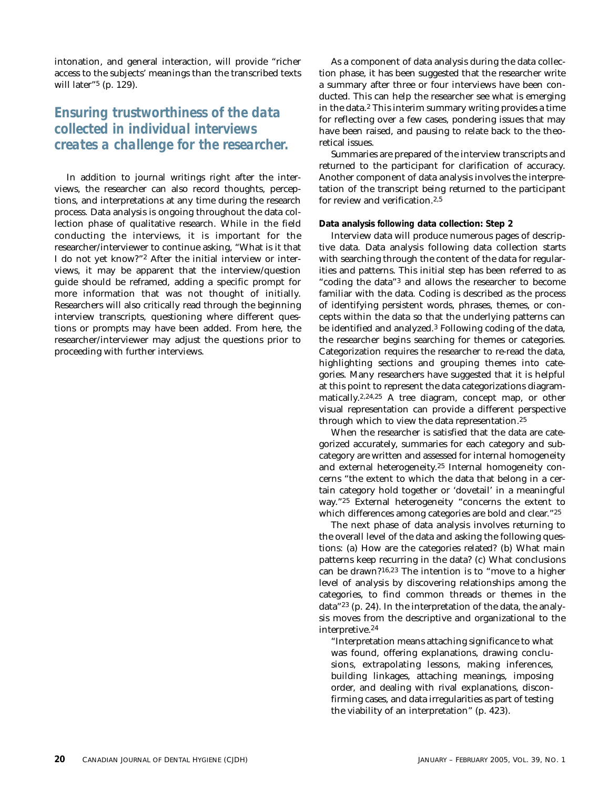intonation, and general interaction, will provide "richer access to the subjects' meanings than the transcribed texts will later"5 (p. 129).

### *Ensuring trustworthiness of the data collected in individual interviews creates a challenge for the researcher.*

In addition to journal writings right after the interviews, the researcher can also record thoughts, perceptions, and interpretations at any time during the research process. Data analysis is ongoing throughout the data collection phase of qualitative research. While in the field conducting the interviews, it is important for the researcher/interviewer to continue asking, "What is it that I do not yet know?"2 After the initial interview or interviews, it may be apparent that the interview/question guide should be reframed, adding a specific prompt for more information that was not thought of initially. Researchers will also critically read through the beginning interview transcripts, questioning where different questions or prompts may have been added. From here, the researcher/interviewer may adjust the questions prior to proceeding with further interviews.

As a component of data analysis during the data collection phase, it has been suggested that the researcher write a summary after three or four interviews have been conducted. This can help the researcher see what is emerging in the data.2 This interim summary writing provides a time for reflecting over a few cases, pondering issues that may have been raised, and pausing to relate back to the theoretical issues.

Summaries are prepared of the interview transcripts and returned to the participant for clarification of accuracy. Another component of data analysis involves the interpretation of the transcript being returned to the participant for review and verification.2,5

### **Data analysis** *following* **data collection: Step 2**

Interview data will produce numerous pages of descriptive data. Data analysis following data collection starts with searching through the content of the data for regularities and patterns. This initial step has been referred to as "coding the data"3 and allows the researcher to become familiar with the data. Coding is described as the process of identifying persistent words, phrases, themes, or concepts within the data so that the underlying patterns can be identified and analyzed.3 Following coding of the data, the researcher begins searching for themes or categories. Categorization requires the researcher to re-read the data, highlighting sections and grouping themes into categories. Many researchers have suggested that it is helpful at this point to represent the data categorizations diagrammatically.2,24,25 A tree diagram, concept map, or other visual representation can provide a different perspective through which to view the data representation.25

When the researcher is satisfied that the data are categorized accurately, summaries for each category and subcategory are written and assessed for internal homogeneity and external heterogeneity.25 Internal homogeneity concerns "the extent to which the data that belong in a certain category hold together or 'dovetail' in a meaningful way."25 External heterogeneity "concerns the extent to which differences among categories are bold and clear."25

The next phase of data analysis involves returning to the overall level of the data and asking the following questions: (a) How are the categories related? (b) What main patterns keep recurring in the data? (c) What conclusions can be drawn?16,23 The intention is to "move to a higher level of analysis by discovering relationships among the categories, to find common threads or themes in the data"23 (p. 24). In the interpretation of the data, the analysis moves from the descriptive and organizational to the interpretive.24

"Interpretation means attaching significance to what was found, offering explanations, drawing conclusions, extrapolating lessons, making inferences, building linkages, attaching meanings, imposing order, and dealing with rival explanations, disconfirming cases, and data irregularities as part of testing the viability of an interpretation" (p. 423).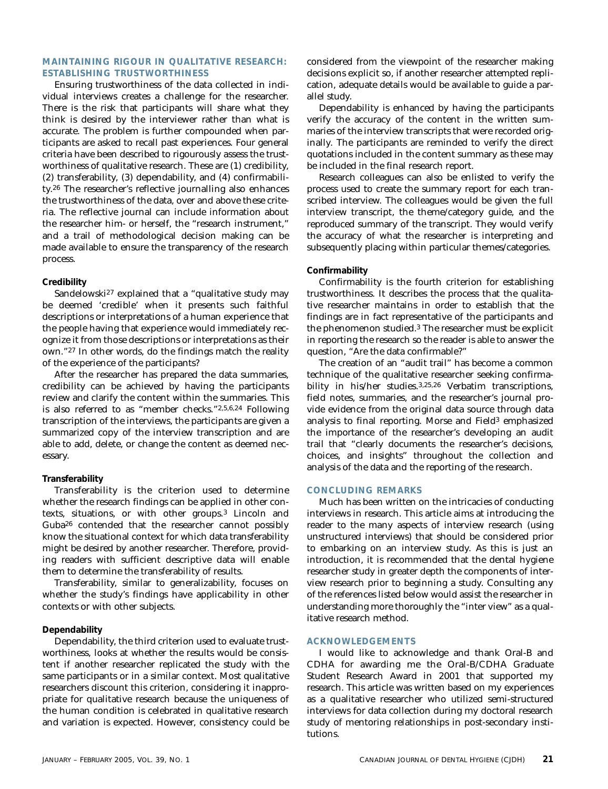### **MAINTAINING RIGOUR IN QUALITATIVE RESEARCH: ESTABLISHING TRUSTWORTHINESS**

Ensuring trustworthiness of the data collected in individual interviews creates a challenge for the researcher. There is the risk that participants will share what they think is desired by the interviewer rather than what is accurate. The problem is further compounded when participants are asked to recall past experiences. Four general criteria have been described to rigourously assess the trustworthiness of qualitative research. These are (1) credibility, (2) transferability, (3) dependability, and (4) confirmability.26 The researcher's reflective journalling also enhances the trustworthiness of the data, over and above these criteria. The reflective journal can include information about the researcher him- or herself, the "research instrument," and a trail of methodological decision making can be made available to ensure the transparency of the research process.

### **Credibility**

Sandelowski<sup>27</sup> explained that a "qualitative study may be deemed 'credible' when it presents such faithful descriptions or interpretations of a human experience that the people having that experience would immediately recognize it from those descriptions or interpretations as their own."27 In other words, do the findings match the reality of the experience of the participants?

After the researcher has prepared the data summaries, credibility can be achieved by having the participants review and clarify the content within the summaries. This is also referred to as "member checks."2,5,6,24 Following transcription of the interviews, the participants are given a summarized copy of the interview transcription and are able to add, delete, or change the content as deemed necessary.

### **Transferability**

Transferability is the criterion used to determine whether the research findings can be applied in other contexts, situations, or with other groups.3 Lincoln and Guba26 contended that the researcher cannot possibly know the situational context for which data transferability might be desired by another researcher. Therefore, providing readers with sufficient descriptive data will enable them to determine the transferability of results.

Transferability, similar to generalizability, focuses on whether the study's findings have applicability in other contexts or with other subjects.

### **Dependability**

Dependability, the third criterion used to evaluate trustworthiness, looks at whether the results would be consistent if another researcher replicated the study with the same participants or in a similar context. Most qualitative researchers discount this criterion, considering it inappropriate for qualitative research because the uniqueness of the human condition is celebrated in qualitative research and variation is expected. However, consistency could be

considered from the viewpoint of the researcher making decisions explicit so, if another researcher attempted replication, adequate details would be available to guide a parallel study.

Dependability is enhanced by having the participants verify the accuracy of the content in the written summaries of the interview transcripts that were recorded originally. The participants are reminded to verify the direct quotations included in the content summary as these may be included in the final research report.

Research colleagues can also be enlisted to verify the process used to create the summary report for each transcribed interview. The colleagues would be given the full interview transcript, the theme/category guide, and the reproduced summary of the transcript. They would verify the accuracy of what the researcher is interpreting and subsequently placing within particular themes/categories.

### **Confirmability**

Confirmability is the fourth criterion for establishing trustworthiness. It describes the process that the qualitative researcher maintains in order to establish that the findings are in fact representative of the participants and the phenomenon studied.3 The researcher must be explicit in reporting the research so the reader is able to answer the question, "Are the data confirmable?"

The creation of an "audit trail" has become a common technique of the qualitative researcher seeking confirmability in his/her studies.3,25,26 Verbatim transcriptions, field notes, summaries, and the researcher's journal provide evidence from the original data source through data analysis to final reporting. Morse and Field<sup>3</sup> emphasized the importance of the researcher's developing an audit trail that "clearly documents the researcher's decisions, choices, and insights" throughout the collection and analysis of the data and the reporting of the research.

### **CONCLUDING REMARKS**

Much has been written on the intricacies of conducting interviews in research. This article aims at introducing the reader to the many aspects of interview research (using unstructured interviews) that should be considered prior to embarking on an interview study. As this is just an introduction, it is recommended that the dental hygiene researcher study in greater depth the components of interview research prior to beginning a study. Consulting any of the references listed below would assist the researcher in understanding more thoroughly the "inter view" as a qualitative research method.

### **ACKNOWLEDGEMENTS**

I would like to acknowledge and thank Oral-B and CDHA for awarding me the Oral-B/CDHA Graduate Student Research Award in 2001 that supported my research. This article was written based on my experiences as a qualitative researcher who utilized semi-structured interviews for data collection during my doctoral research study of mentoring relationships in post-secondary institutions.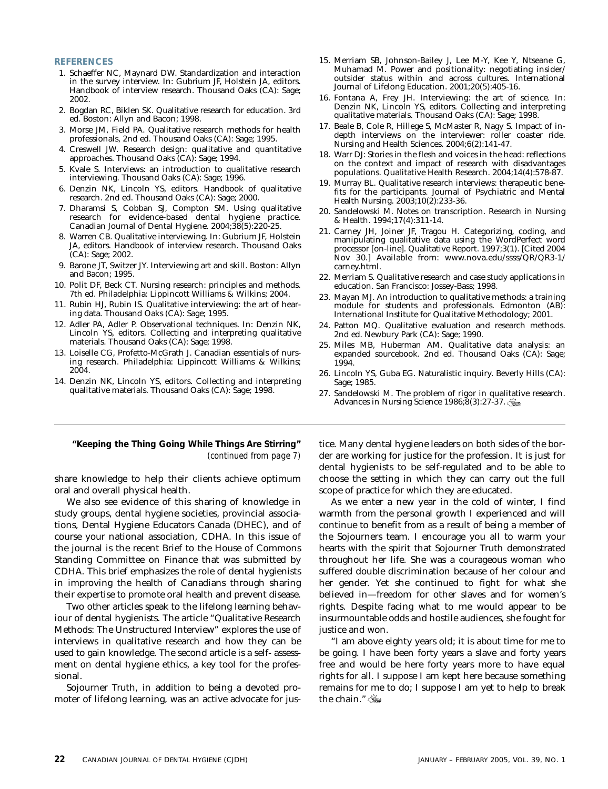#### **REFERENCES**

- 1. Schaeffer NC, Maynard DW. Standardization and interaction in the survey interview. In: Gubrium JF, Holstein JA, editors. Handbook of interview research. Thousand Oaks (CA): Sage; 2002.
- 2. Bogdan RC, Biklen SK. Qualitative research for education. 3rd ed. Boston: Allyn and Bacon; 1998.
- 3. Morse JM, Field PA. Qualitative research methods for health professionals, 2nd ed. Thousand Oaks (CA): Sage; 1995.
- 4. Creswell JW. Research design: qualitative and quantitative approaches. Thousand Oaks (CA): Sage; 1994.
- 5. Kvale S. Interviews: an introduction to qualitative research interviewing. Thousand Oaks (CA): Sage; 1996.
- 6. Denzin NK, Lincoln YS, editors. Handbook of qualitative research. 2nd ed. Thousand Oaks (CA): Sage; 2000.
- 7. Dharamsi S, Cobban SJ, Compton SM. Using qualitative research for evidence-based dental hygiene practice. Canadian Journal of Dental Hygiene. 2004;38(5):220-25.
- 8. Warren CB. Qualitative interviewing. In: Gubrium JF, Holstein JA, editors. Handbook of interview research. Thousand Oaks (CA): Sage; 2002.
- 9. Barone JT, Switzer JY. Interviewing art and skill. Boston: Allyn and Bacon; 1995.
- 10. Polit DF, Beck CT. Nursing research: principles and methods. 7th ed. Philadelphia: Lippincott Williams & Wilkins; 2004.
- 11. Rubin HJ, Rubin IS. Qualitative interviewing: the art of hearing data. Thousand Oaks (CA): Sage; 1995.
- 12. Adler PA, Adler P. Observational techniques. In: Denzin NK, Lincoln YS, editors. Collecting and interpreting qualitative materials. Thousand Oaks (CA): Sage; 1998.
- 13. Loiselle CG, Profetto-McGrath J. Canadian essentials of nursing research. Philadelphia: Lippincott Williams & Wilkins; 2004.
- 14. Denzin NK, Lincoln YS, editors. Collecting and interpreting qualitative materials. Thousand Oaks (CA): Sage; 1998.
- 15. Merriam SB, Johnson-Bailey J, Lee M-Y, Kee Y, Ntseane G, Muhamad M. Power and positionality: negotiating insider/ outsider status within and across cultures. International Journal of Lifelong Education. 2001;20(5):405-16.
- 16. Fontana A, Frey JH. Interviewing: the art of science. In: Denzin NK, Lincoln YS, editors. Collecting and interpreting qualitative materials. Thousand Oaks (CA): Sage; 1998.
- 17. Beale B, Cole R, Hillege S, McMaster R, Nagy S. Impact of indepth interviews on the interviewer: roller coaster ride. Nursing and Health Sciences. 2004;6(2):141-47.
- 18. Warr DJ: Stories in the flesh and voices in the head: reflections on the context and impact of research with disadvantages populations. Qualitative Health Research. 2004;14(4):578-87.
- 19. Murray BL. Qualitative research interviews: therapeutic benefits for the participants. Journal of Psychiatric and Mental Health Nursing. 2003;10(2):233-36.
- 20. Sandelowski M. Notes on transcription. Research in Nursing & Health. 1994;17(4):311-14.
- 21. Carney JH, Joiner JF, Tragou H. Categorizing, coding, and manipulating qualitative data using the WordPerfect word processor [on-line]. Qualitative Report. 1997;3(1). [Cited 2004 Nov 30.] Available from: www.nova.edu/ssss/QR/QR3-1/ carney.html.
- 22. Merriam S. Qualitative research and case study applications in education. San Francisco: Jossey-Bass; 1998.
- 23. Mayan MJ. An introduction to qualitative methods: a training module for students and professionals. Edmonton (AB): International Institute for Qualitative Methodology; 2001.
- 24. Patton MQ. Qualitative evaluation and research methods. 2nd ed. Newbury Park (CA): Sage; 1990.
- 25. Miles MB, Huberman AM. Qualitative data analysis: an expanded sourcebook. 2nd ed. Thousand Oaks (CA): Sage; 1994.
- 26. Lincoln YS, Guba EG. Naturalistic inquiry. Beverly Hills (CA): Sage; 1985.
- 27. Sandelowski M. The problem of rigor in qualitative research. Advances in Nursing Science 1986;8(3):27-37.

**"Keeping the Thing Going While Things Are Stirring"** *(continued from page 7)*

share knowledge to help their clients achieve optimum oral and overall physical health.

We also see evidence of this sharing of knowledge in study groups, dental hygiene societies, provincial associations, Dental Hygiene Educators Canada (DHEC), and of course your national association, CDHA. In this issue of the journal is the recent Brief to the House of Commons Standing Committee on Finance that was submitted by CDHA. This brief emphasizes the role of dental hygienists in improving the health of Canadians through sharing their expertise to promote oral health and prevent disease.

Two other articles speak to the lifelong learning behaviour of dental hygienists. The article "Qualitative Research Methods: The Unstructured Interview" explores the use of interviews in qualitative research and how they can be used to gain knowledge. The second article is a self- assessment on dental hygiene ethics, a key tool for the professional.

Sojourner Truth, in addition to being a devoted promoter of lifelong learning, was an active advocate for justice. Many dental hygiene leaders on both sides of the border are working for justice for the profession. It is just for dental hygienists to be self-regulated and to be able to choose the setting in which they can carry out the full scope of practice for which they are educated.

As we enter a new year in the cold of winter, I find warmth from the personal growth I experienced and will continue to benefit from as a result of being a member of the Sojourners team. I encourage you all to warm your hearts with the spirit that Sojourner Truth demonstrated throughout her life. She was a courageous woman who suffered double discrimination because of her colour and her gender. Yet she continued to fight for what she believed in—freedom for other slaves and for women's rights. Despite facing what to me would appear to be insurmountable odds and hostile audiences, she fought for justice and won.

"I am above eighty years old; it is about time for me to be going. I have been forty years a slave and forty years free and would be here forty years more to have equal rights for all. I suppose I am kept here because something remains for me to do; I suppose I am yet to help to break the chain."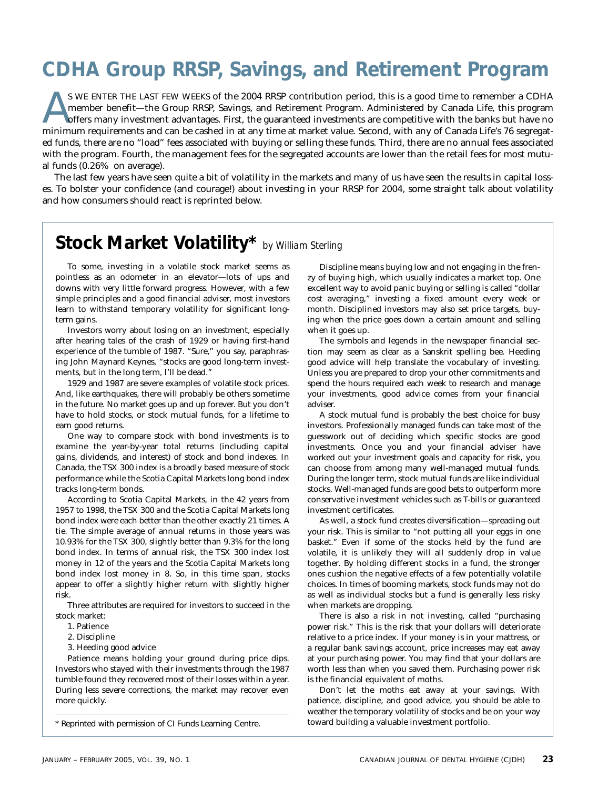# **CDHA Group RRSP, Savings, and Retirement Program**

S WE ENTER THE LAST FEW WEEKS of the 2004 RRSP contribution period, this is a good time to remember a CDHA<br>member benefit—the Group RRSP, Savings, and Retirement Program. Administered by Canada Life, this program<br>offers ma member benefit—the Group RRSP, Savings, and Retirement Program. Administered by Canada Life, this program offers many investment advantages. First, the guaranteed investments are competitive with the banks but have no minimum requirements and can be cashed in at any time at market value. Second, with any of Canada Life's 76 segregated funds, there are no "load" fees associated with buying or selling these funds. Third, there are no annual fees associated with the program. Fourth, the management fees for the segregated accounts are lower than the retail fees for most mutual funds (0.26% on average).

The last few years have seen quite a bit of volatility in the markets and many of us have seen the results in capital losses. To bolster your confidence (and courage!) about investing in your RRSP for 2004, some straight talk about volatility and how consumers should react is reprinted below.

## **Stock Market Volatility\*** *by William Sterling*

To some, investing in a volatile stock market seems as pointless as an odometer in an elevator—lots of ups and downs with very little forward progress. However, with a few simple principles and a good financial adviser, most investors learn to withstand temporary volatility for significant longterm gains.

Investors worry about losing on an investment, especially after hearing tales of the crash of 1929 or having first-hand experience of the tumble of 1987. "Sure," you say, paraphrasing John Maynard Keynes, "stocks are good long-term investments, but in the long term, I'll be dead."

1929 and 1987 are severe examples of volatile stock prices. And, like earthquakes, there will probably be others sometime in the future. No market goes up and up forever. But you don't have to hold stocks, or stock mutual funds, for a lifetime to earn good returns.

One way to compare stock with bond investments is to examine the year-by-year total returns (including capital gains, dividends, and interest) of stock and bond indexes. In Canada, the TSX 300 index is a broadly based measure of stock performance while the Scotia Capital Markets long bond index tracks long-term bonds.

According to Scotia Capital Markets, in the 42 years from 1957 to 1998, the TSX 300 and the Scotia Capital Markets long bond index were each better than the other exactly 21 times. A tie. The simple average of annual returns in those years was 10.93% for the TSX 300, slightly better than 9.3% for the long bond index. In terms of annual risk, the TSX 300 index lost money in 12 of the years and the Scotia Capital Markets long bond index lost money in 8. So, in this time span, stocks appear to offer a slightly higher return with slightly higher risk.

Three attributes are required for investors to succeed in the stock market:

- 1. Patience
- 2. Discipline
- 3. Heeding good advice

Patience means holding your ground during price dips. Investors who stayed with their investments through the 1987 tumble found they recovered most of their losses within a year. During less severe corrections, the market may recover even more quickly.

\* Reprinted with permission of CI Funds Learning Centre.

Discipline means buying low and not engaging in the frenzy of buying high, which usually indicates a market top. One excellent way to avoid panic buying or selling is called "dollar cost averaging," investing a fixed amount every week or month. Disciplined investors may also set price targets, buying when the price goes down a certain amount and selling when it goes up.

The symbols and legends in the newspaper financial section may seem as clear as a Sanskrit spelling bee. Heeding good advice will help translate the vocabulary of investing. Unless you are prepared to drop your other commitments and spend the hours required each week to research and manage your investments, good advice comes from your financial adviser.

A stock mutual fund is probably the best choice for busy investors. Professionally managed funds can take most of the guesswork out of deciding which specific stocks are good investments. Once you and your financial adviser have worked out your investment goals and capacity for risk, you can choose from among many well-managed mutual funds. During the longer term, stock mutual funds are like individual stocks. Well-managed funds are good bets to outperform more conservative investment vehicles such as T-bills or guaranteed investment certificates.

As well, a stock fund creates diversification—spreading out your risk. This is similar to "not putting all your eggs in one basket." Even if some of the stocks held by the fund are volatile, it is unlikely they will all suddenly drop in value together. By holding different stocks in a fund, the stronger ones cushion the negative effects of a few potentially volatile choices. In times of booming markets, stock funds may not do as well as individual stocks but a fund is generally less risky when markets are dropping.

There is also a risk in not investing, called "purchasing power risk." This is the risk that your dollars will deteriorate relative to a price index. If your money is in your mattress, or a regular bank savings account, price increases may eat away at your purchasing power. You may find that your dollars are worth less than when you saved them. Purchasing power risk is the financial equivalent of moths.

Don't let the moths eat away at your savings. With patience, discipline, and good advice, you should be able to weather the temporary volatility of stocks and be on your way toward building a valuable investment portfolio.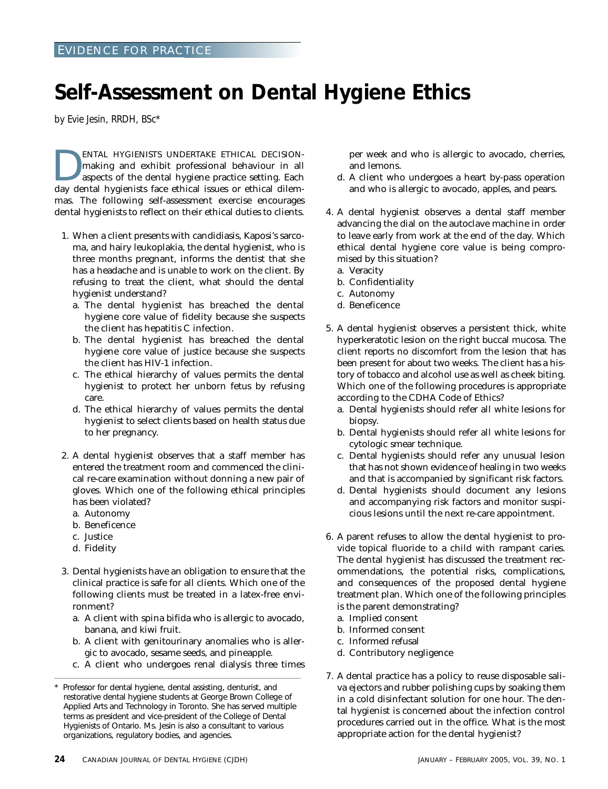## **Self-Assessment on Dental Hygiene Ethics**

*by Evie Jesin, RRDH, BSc\**

ENTAL HYGIENISTS UNDERTAKE ETHICAL DECISION-<br>making and exhibit professional behaviour in all<br>aspects of the dental hygiene practice setting. Each<br>day dental hygienists face ethical issues or ethical dilemmaking and exhibit professional behaviour in all aspects of the dental hygiene practice setting. Each day dental hygienists face ethical issues or ethical dilemmas. The following self-assessment exercise encourages dental hygienists to reflect on their ethical duties to clients.

- 1. When a client presents with candidiasis, Kaposi's sarcoma, and hairy leukoplakia, the dental hygienist, who is three months pregnant, informs the dentist that she has a headache and is unable to work on the client. By refusing to treat the client, what should the dental hygienist understand?
	- a. The dental hygienist has breached the dental hygiene core value of fidelity because she suspects the client has hepatitis C infection.
	- b. The dental hygienist has breached the dental hygiene core value of justice because she suspects the client has HIV-1 infection.
	- c. The ethical hierarchy of values permits the dental hygienist to protect her unborn fetus by refusing care.
	- d. The ethical hierarchy of values permits the dental hygienist to select clients based on health status due to her pregnancy.
- 2. A dental hygienist observes that a staff member has entered the treatment room and commenced the clinical re-care examination without donning a new pair of gloves. Which one of the following ethical principles has been violated?
	- a. Autonomy
	- b. Beneficence
	- c. Justice
	- d. Fidelity
- 3. Dental hygienists have an obligation to ensure that the clinical practice is safe for all clients. Which one of the following clients must be treated in a latex-free environment?
	- a. A client with spina bifida who is allergic to avocado, banana, and kiwi fruit.
	- b. A client with genitourinary anomalies who is allergic to avocado, sesame seeds, and pineapple.
	- c. A client who undergoes renal dialysis three times

per week and who is allergic to avocado, cherries, and lemons.

- d. A client who undergoes a heart by-pass operation and who is allergic to avocado, apples, and pears.
- 4. A dental hygienist observes a dental staff member advancing the dial on the autoclave machine in order to leave early from work at the end of the day. Which ethical dental hygiene core value is being compromised by this situation?
	- a. Veracity
	- b. Confidentiality
	- c. Autonomy
	- d. Beneficence
- 5. A dental hygienist observes a persistent thick, white hyperkeratotic lesion on the right buccal mucosa. The client reports no discomfort from the lesion that has been present for about two weeks. The client has a history of tobacco and alcohol use as well as cheek biting. Which one of the following procedures is appropriate according to the CDHA Code of Ethics?
	- a. Dental hygienists should refer all white lesions for biopsy.
	- b. Dental hygienists should refer all white lesions for cytologic smear technique.
	- c. Dental hygienists should refer any unusual lesion that has not shown evidence of healing in two weeks and that is accompanied by significant risk factors.
	- d. Dental hygienists should document any lesions and accompanying risk factors and monitor suspicious lesions until the next re-care appointment.
- 6. A parent refuses to allow the dental hygienist to provide topical fluoride to a child with rampant caries. The dental hygienist has discussed the treatment recommendations, the potential risks, complications, and consequences of the proposed dental hygiene treatment plan. Which one of the following principles is the parent demonstrating?
	- a. Implied consent
	- b. Informed consent
	- c. Informed refusal
	- d. Contributory negligence
- 7. A dental practice has a policy to reuse disposable saliva ejectors and rubber polishing cups by soaking them in a cold disinfectant solution for one hour. The dental hygienist is concerned about the infection control procedures carried out in the office. What is the most appropriate action for the dental hygienist?

Professor for dental hygiene, dental assisting, denturist, and restorative dental hygiene students at George Brown College of Applied Arts and Technology in Toronto. She has served multiple terms as president and vice-president of the College of Dental Hygienists of Ontario. Ms. Jesin is also a consultant to various organizations, regulatory bodies, and agencies.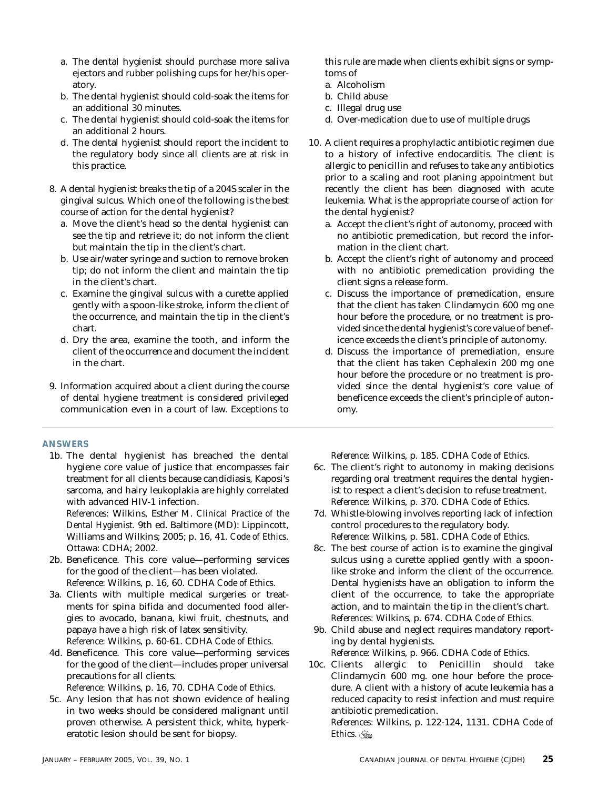- a. The dental hygienist should purchase more saliva ejectors and rubber polishing cups for her/his operatory.
- b. The dental hygienist should cold-soak the items for an additional 30 minutes.
- c. The dental hygienist should cold-soak the items for an additional 2 hours.
- d. The dental hygienist should report the incident to the regulatory body since all clients are at risk in this practice.
- 8. A dental hygienist breaks the tip of a 204S scaler in the gingival sulcus. Which one of the following is the best course of action for the dental hygienist?
	- a. Move the client's head so the dental hygienist can see the tip and retrieve it; do not inform the client but maintain the tip in the client's chart.
	- b. Use air/water syringe and suction to remove broken tip; do not inform the client and maintain the tip in the client's chart.
	- c. Examine the gingival sulcus with a curette applied gently with a spoon-like stroke, inform the client of the occurrence, and maintain the tip in the client's chart.
	- d. Dry the area, examine the tooth, and inform the client of the occurrence and document the incident in the chart.
- 9. Information acquired about a client during the course of dental hygiene treatment is considered privileged communication even in a court of law. Exceptions to

### **ANSWERS**

1b. The dental hygienist has breached the dental hygiene core value of justice that encompasses fair treatment for all clients because candidiasis, Kaposi's sarcoma, and hairy leukoplakia are highly correlated with advanced HIV-1 infection.

*References:* Wilkins, Esther M. *Clinical Practice of the Dental Hygienist.* 9th ed. Baltimore (MD): Lippincott, Williams and Wilkins; 2005; p. 16, 41. *Code of Ethics.* Ottawa: CDHA; 2002.

- 2b. Beneficence. This core value—performing services for the good of the client—has been violated. *Reference:* Wilkins, p. 16, 60. CDHA *Code of Ethics.*
- 3a. Clients with multiple medical surgeries or treatments for spina bifida and documented food allergies to avocado, banana, kiwi fruit, chestnuts, and papaya have a high risk of latex sensitivity. *Reference:* Wilkins, p. 60-61. CDHA *Code of Ethics.*
- 4d. Beneficence. This core value—performing services for the good of the client—includes proper universal precautions for all clients.

*Reference:* Wilkins, p. 16, 70. CDHA *Code of Ethics.*

5c. Any lesion that has not shown evidence of healing in two weeks should be considered malignant until proven otherwise. A persistent thick, white, hyperkeratotic lesion should be sent for biopsy.

this rule are made when clients exhibit signs or symptoms of

- a. Alcoholism
- b. Child abuse
- c. Illegal drug use
- d. Over-medication due to use of multiple drugs
- 10. A client requires a prophylactic antibiotic regimen due to a history of infective endocarditis. The client is allergic to penicillin and refuses to take any antibiotics prior to a scaling and root planing appointment but recently the client has been diagnosed with acute leukemia. What is the appropriate course of action for the dental hygienist?
	- a. Accept the client's right of autonomy, proceed with no antibiotic premedication, but record the information in the client chart.
	- b. Accept the client's right of autonomy and proceed with no antibiotic premedication providing the client signs a release form.
	- c. Discuss the importance of premedication, ensure that the client has taken Clindamycin 600 mg one hour before the procedure, or no treatment is provided since the dental hygienist's core value of beneficence exceeds the client's principle of autonomy.
	- d. Discuss the importance of premediation, ensure that the client has taken Cephalexin 200 mg one hour before the procedure or no treatment is provided since the dental hygienist's core value of beneficence exceeds the client's principle of autonomy.

*Reference:* Wilkins, p. 185. CDHA *Code of Ethics.*

- 6c. The client's right to autonomy in making decisions regarding oral treatment requires the dental hygienist to respect a client's decision to refuse treatment. *Reference:* Wilkins, p. 370. CDHA *Code of Ethics.*
- 7d. Whistle-blowing involves reporting lack of infection control procedures to the regulatory body. *Reference:* Wilkins, p. 581. CDHA *Code of Ethics.*
- 8c. The best course of action is to examine the gingival sulcus using a curette applied gently with a spoonlike stroke and inform the client of the occurrence. Dental hygienists have an obligation to inform the client of the occurrence, to take the appropriate action, and to maintain the tip in the client's chart. *References:* Wilkins, p. 674. CDHA *Code of Ethics.*
- 9b. Child abuse and neglect requires mandatory reporting by dental hygienists. *Reference:* Wilkins, p. 966. CDHA *Code of Ethics.*

10c. Clients allergic to Penicillin should take

Clindamycin 600 mg. one hour before the procedure. A client with a history of acute leukemia has a reduced capacity to resist infection and must require antibiotic premedication. *References:* Wilkins, p. 122-124, 1131. CDHA *Code of Ethics.*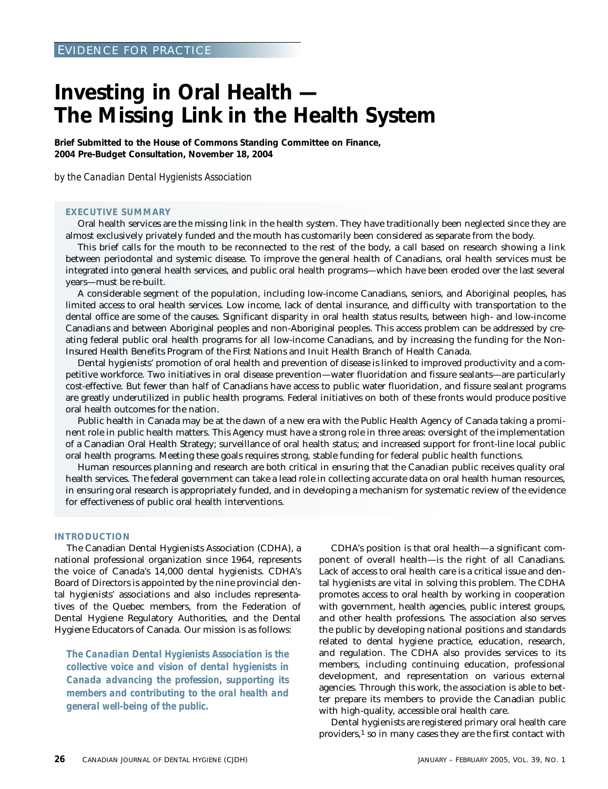# **Investing in Oral Health — The Missing Link in the Health System**

**Brief Submitted to the House of Commons Standing Committee on Finance, 2004 Pre-Budget Consultation, November 18, 2004**

*by the Canadian Dental Hygienists Association*

### **EXECUTIVE SUMMARY**

Oral health services are the missing link in the health system. They have traditionally been neglected since they are almost exclusively privately funded and the mouth has customarily been considered as separate from the body.

This brief calls for the mouth to be reconnected to the rest of the body, a call based on research showing a link between periodontal and systemic disease. To improve the general health of Canadians, oral health services must be integrated into general health services, and public oral health programs—which have been eroded over the last several years—must be re-built.

A considerable segment of the population, including low-income Canadians, seniors, and Aboriginal peoples, has limited access to oral health services. Low income, lack of dental insurance, and difficulty with transportation to the dental office are some of the causes. Significant disparity in oral health status results, between high- and low-income Canadians and between Aboriginal peoples and non-Aboriginal peoples. This access problem can be addressed by creating federal public oral health programs for all low-income Canadians, and by increasing the funding for the Non-Insured Health Benefits Program of the First Nations and Inuit Health Branch of Health Canada.

Dental hygienists' promotion of oral health and prevention of disease is linked to improved productivity and a competitive workforce. Two initiatives in oral disease prevention—water fluoridation and fissure sealants—are particularly cost-effective. But fewer than half of Canadians have access to public water fluoridation, and fissure sealant programs are greatly underutilized in public health programs. Federal initiatives on both of these fronts would produce positive oral health outcomes for the nation.

Public health in Canada may be at the dawn of a new era with the Public Health Agency of Canada taking a prominent role in public health matters. This Agency must have a strong role in three areas: oversight of the implementation of a Canadian Oral Health Strategy; surveillance of oral health status; and increased support for front-line local public oral health programs. Meeting these goals requires strong, stable funding for federal public health functions.

Human resources planning and research are both critical in ensuring that the Canadian public receives quality oral health services. The federal government can take a lead role in collecting accurate data on oral health human resources, in ensuring oral research is appropriately funded, and in developing a mechanism for systematic review of the evidence for effectiveness of public oral health interventions.

### **INTRODUCTION**

The Canadian Dental Hygienists Association (CDHA), a national professional organization since 1964, represents the voice of Canada's 14,000 dental hygienists. CDHA's Board of Directors is appointed by the nine provincial dental hygienists' associations and also includes representatives of the Quebec members, from the Federation of Dental Hygiene Regulatory Authorities, and the Dental Hygiene Educators of Canada. Our mission is as follows:

*The Canadian Dental Hygienists Association is the collective voice and vision of dental hygienists in Canada advancing the profession, supporting its members and contributing to the oral health and general well-being of the public.*

CDHA's position is that oral health—a significant component of overall health—is the right of all Canadians. Lack of access to oral health care is a critical issue and dental hygienists are vital in solving this problem. The CDHA promotes access to oral health by working in cooperation with government, health agencies, public interest groups, and other health professions. The association also serves the public by developing national positions and standards related to dental hygiene practice, education, research, and regulation. The CDHA also provides services to its members, including continuing education, professional development, and representation on various external agencies. Through this work, the association is able to better prepare its members to provide the Canadian public with high-quality, accessible oral health care.

Dental hygienists are registered primary oral health care providers,<sup>1</sup> so in many cases they are the first contact with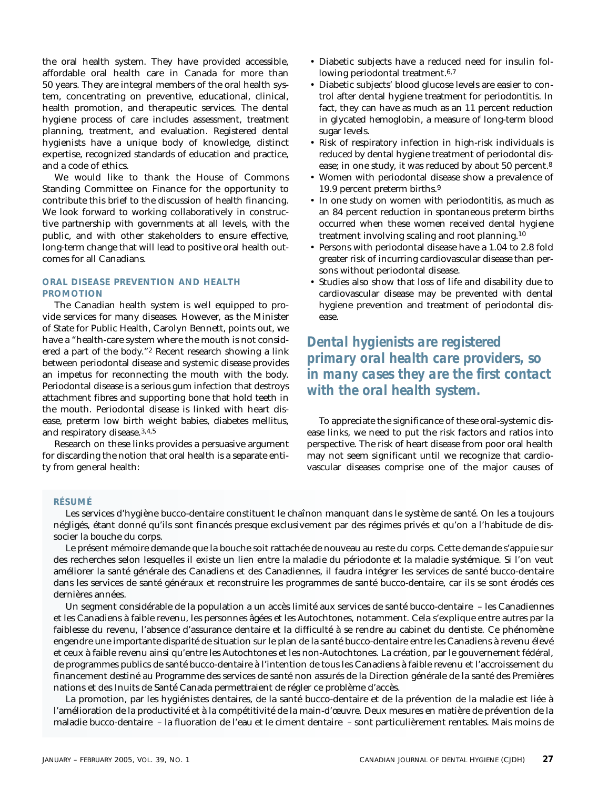the oral health system. They have provided accessible, affordable oral health care in Canada for more than 50 years. They are integral members of the oral health system, concentrating on preventive, educational, clinical, health promotion, and therapeutic services. The dental hygiene process of care includes assessment, treatment planning, treatment, and evaluation. Registered dental hygienists have a unique body of knowledge, distinct expertise, recognized standards of education and practice, and a code of ethics.

We would like to thank the House of Commons Standing Committee on Finance for the opportunity to contribute this brief to the discussion of health financing. We look forward to working collaboratively in constructive partnership with governments at all levels, with the public, and with other stakeholders to ensure effective, long-term change that will lead to positive oral health outcomes for all Canadians.

### **ORAL DISEASE PREVENTION AND HEALTH PROMOTION**

The Canadian health system is well equipped to provide services for many diseases. However, as the Minister of State for Public Health, Carolyn Bennett, points out, we have a "health-care system where the mouth is not considered a part of the body."2 Recent research showing a link between periodontal disease and systemic disease provides an impetus for reconnecting the mouth with the body. Periodontal disease is a serious gum infection that destroys attachment fibres and supporting bone that hold teeth in the mouth. Periodontal disease is linked with heart disease, preterm low birth weight babies, diabetes mellitus, and respiratory disease.3,4,5

Research on these links provides a persuasive argument for discarding the notion that oral health is a separate entity from general health:

- Diabetic subjects have a reduced need for insulin following periodontal treatment.6,7
- Diabetic subjects' blood glucose levels are easier to control after dental hygiene treatment for periodontitis. In fact, they can have as much as an 11 percent reduction in glycated hemoglobin, a measure of long-term blood sugar levels.
- Risk of respiratory infection in high-risk individuals is reduced by dental hygiene treatment of periodontal disease; in one study, it was reduced by about 50 percent.8
- Women with periodontal disease show a prevalence of 19.9 percent preterm births.9
- In one study on women with periodontitis, as much as an 84 percent reduction in spontaneous preterm births occurred when these women received dental hygiene treatment involving scaling and root planning.10
- Persons with periodontal disease have a 1.04 to 2.8 fold greater risk of incurring cardiovascular disease than persons without periodontal disease.
- Studies also show that loss of life and disability due to cardiovascular disease may be prevented with dental hygiene prevention and treatment of periodontal disease.

### *Dental hygienists are registered primary oral health care providers, so in many cases they are the first contact with the oral health system.*

To appreciate the significance of these oral-systemic disease links, we need to put the risk factors and ratios into perspective. The risk of heart disease from poor oral health may not seem significant until we recognize that cardiovascular diseases comprise one of the major causes of

### **RÉSUMÉ**

Les services d'hygiène bucco-dentaire constituent le chaînon manquant dans le système de santé. On les a toujours négligés, étant donné qu'ils sont financés presque exclusivement par des régimes privés et qu'on a l'habitude de dissocier la bouche du corps.

Le présent mémoire demande que la bouche soit rattachée de nouveau au reste du corps. Cette demande s'appuie sur des recherches selon lesquelles il existe un lien entre la maladie du périodonte et la maladie systémique. Si l'on veut améliorer la santé générale des Canadiens et des Canadiennes, il faudra intégrer les services de santé bucco-dentaire dans les services de santé généraux et reconstruire les programmes de santé bucco-dentaire, car ils se sont érodés ces dernières années.

Un segment considérable de la population a un accès limité aux services de santé bucco-dentaire – les Canadiennes et les Canadiens à faible revenu, les personnes âgées et les Autochtones, notamment. Cela s'explique entre autres par la faiblesse du revenu, l'absence d'assurance dentaire et la difficulté à se rendre au cabinet du dentiste. Ce phénomène engendre une importante disparité de situation sur le plan de la santé bucco-dentaire entre les Canadiens à revenu élevé et ceux à faible revenu ainsi qu'entre les Autochtones et les non-Autochtones. La création, par le gouvernement fédéral, de programmes publics de santé bucco-dentaire à l'intention de tous les Canadiens à faible revenu et l'accroissement du financement destiné au Programme des services de santé non assurés de la Direction générale de la santé des Premières nations et des Inuits de Santé Canada permettraient de régler ce problème d'accès.

La promotion, par les hygiénistes dentaires, de la santé bucco-dentaire et de la prévention de la maladie est liée à l'amélioration de la productivité et à la compétitivité de la main-d'œuvre. Deux mesures en matière de prévention de la maladie bucco-dentaire – la fluoration de l'eau et le ciment dentaire – sont particulièrement rentables. Mais moins de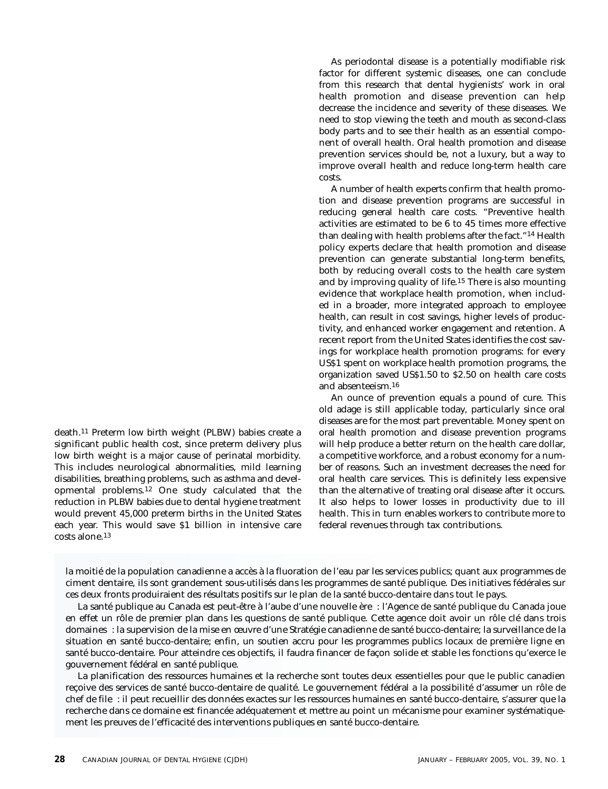death.11 Preterm low birth weight (PLBW) babies create a significant public health cost, since preterm delivery plus low birth weight is a major cause of perinatal morbidity. This includes neurological abnormalities, mild learning disabilities, breathing problems, such as asthma and developmental problems.12 One study calculated that the reduction in PLBW babies due to dental hygiene treatment would prevent 45,000 preterm births in the United States each year. This would save \$1 billion in intensive care costs alone.13

As periodontal disease is a potentially modifiable risk factor for different systemic diseases, one can conclude from this research that dental hygienists' work in oral health promotion and disease prevention can help decrease the incidence and severity of these diseases. We need to stop viewing the teeth and mouth as second-class body parts and to see their health as an essential component of overall health. Oral health promotion and disease prevention services should be, not a luxury, but a way to improve overall health and reduce long-term health care costs.

A number of health experts confirm that health promotion and disease prevention programs are successful in reducing general health care costs. "Preventive health activities are estimated to be 6 to 45 times more effective than dealing with health problems after the fact."14 Health policy experts declare that health promotion and disease prevention can generate substantial long-term benefits, both by reducing overall costs to the health care system and by improving quality of life.15 There is also mounting evidence that workplace health promotion, when included in a broader, more integrated approach to employee health, can result in cost savings, higher levels of productivity, and enhanced worker engagement and retention. A recent report from the United States identifies the cost savings for workplace health promotion programs: for every US\$1 spent on workplace health promotion programs, the organization saved US\$1.50 to \$2.50 on health care costs and absenteeism.16

An ounce of prevention equals a pound of cure. This old adage is still applicable today, particularly since oral diseases are for the most part preventable. Money spent on oral health promotion and disease prevention programs will help produce a better return on the health care dollar, a competitive workforce, and a robust economy for a number of reasons. Such an investment decreases the need for oral health care services. This is definitely less expensive than the alternative of treating oral disease after it occurs. It also helps to lower losses in productivity due to ill health. This in turn enables workers to contribute more to federal revenues through tax contributions.

la moitié de la population canadienne a accès à la fluoration de l'eau par les services publics; quant aux programmes de ciment dentaire, ils sont grandement sous-utilisés dans les programmes de santé publique. Des initiatives fédérales sur ces deux fronts produiraient des résultats positifs sur le plan de la santé bucco-dentaire dans tout le pays.

La santé publique au Canada est peut-être à l'aube d'une nouvelle ère : l'Agence de santé publique du Canada joue en effet un rôle de premier plan dans les questions de santé publique. Cette agence doit avoir un rôle clé dans trois domaines : la supervision de la mise en œuvre d'une Stratégie canadienne de santé bucco-dentaire; la surveillance de la situation en santé bucco-dentaire; enfin, un soutien accru pour les programmes publics locaux de première ligne en santé bucco-dentaire. Pour atteindre ces objectifs, il faudra financer de façon solide et stable les fonctions qu'exerce le gouvernement fédéral en santé publique.

La planification des ressources humaines et la recherche sont toutes deux essentielles pour que le public canadien reçoive des services de santé bucco-dentaire de qualité. Le gouvernement fédéral a la possibilité d'assumer un rôle de chef de file : il peut recueillir des données exactes sur les ressources humaines en santé bucco-dentaire, s'assurer que la recherche dans ce domaine est financée adéquatement et mettre au point un mécanisme pour examiner systématiquement les preuves de l'efficacité des interventions publiques en santé bucco-dentaire.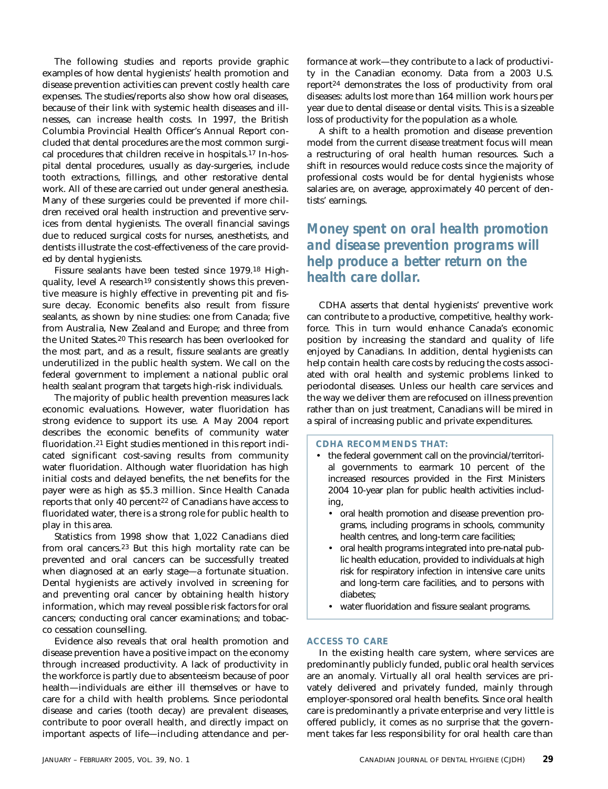The following studies and reports provide graphic examples of how dental hygienists' health promotion and disease prevention activities can prevent costly health care expenses. The studies/reports also show how oral diseases, because of their link with systemic health diseases and illnesses, can increase health costs. In 1997, the British Columbia Provincial Health Officer's Annual Report concluded that dental procedures are the most common surgical procedures that children receive in hospitals.17 In-hospital dental procedures, usually as day-surgeries, include tooth extractions, fillings, and other restorative dental work. All of these are carried out under general anesthesia. Many of these surgeries could be prevented if more children received oral health instruction and preventive services from dental hygienists. The overall financial savings due to reduced surgical costs for nurses, anesthetists, and dentists illustrate the cost-effectiveness of the care provided by dental hygienists.

Fissure sealants have been tested since 1979.18 Highquality, level A research<sup>19</sup> consistently shows this preventive measure is highly effective in preventing pit and fissure decay. Economic benefits also result from fissure sealants, as shown by nine studies: one from Canada; five from Australia, New Zealand and Europe; and three from the United States.20 This research has been overlooked for the most part, and as a result, fissure sealants are greatly underutilized in the public health system. We call on the federal government to implement a national public oral health sealant program that targets high-risk individuals.

The majority of public health prevention measures lack economic evaluations. However, water fluoridation has strong evidence to support its use. A May 2004 report describes the economic benefits of community water fluoridation.21 Eight studies mentioned in this report indicated significant cost-saving results from community water fluoridation. Although water fluoridation has high initial costs and delayed benefits, the net benefits for the payer were as high as \$5.3 million. Since Health Canada reports that only 40 percent<sup>22</sup> of Canadians have access to fluoridated water, there is a strong role for public health to play in this area.

Statistics from 1998 show that 1,022 Canadians died from oral cancers.<sup>23</sup> But this high mortality rate can be prevented and oral cancers can be successfully treated when diagnosed at an early stage—a fortunate situation. Dental hygienists are actively involved in screening for and preventing oral cancer by obtaining health history information, which may reveal possible risk factors for oral cancers; conducting oral cancer examinations; and tobacco cessation counselling.

Evidence also reveals that oral health promotion and disease prevention have a positive impact on the economy through increased productivity. A lack of productivity in the workforce is partly due to absenteeism because of poor health—individuals are either ill themselves or have to care for a child with health problems. Since periodontal disease and caries (tooth decay) are prevalent diseases, contribute to poor overall health, and directly impact on important aspects of life—including attendance and performance at work—they contribute to a lack of productivity in the Canadian economy. Data from a 2003 U.S. report24 demonstrates the loss of productivity from oral diseases: adults lost more than 164 million work hours per year due to dental disease or dental visits. This is a sizeable loss of productivity for the population as a whole.

A shift to a health promotion and disease prevention model from the current disease treatment focus will mean a restructuring of oral health human resources. Such a shift in resources would reduce costs since the majority of professional costs would be for dental hygienists whose salaries are, on average, approximately 40 percent of dentists' earnings.

*Money spent on oral health promotion and disease prevention programs will help produce a better return on the health care dollar.*

CDHA asserts that dental hygienists' preventive work can contribute to a productive, competitive, healthy workforce. This in turn would enhance Canada's economic position by increasing the standard and quality of life enjoyed by Canadians. In addition, dental hygienists can help contain health care costs by reducing the costs associated with oral health and systemic problems linked to periodontal diseases. Unless our health care services and the way we deliver them are refocused on illness *prevention* rather than on just treatment, Canadians will be mired in a spiral of increasing public and private expenditures.

### **CDHA RECOMMENDS THAT:**

- the federal government call on the provincial/territorial governments to earmark 10 percent of the increased resources provided in the First Ministers 2004 10-year plan for public health activities including,
	- oral health promotion and disease prevention programs, including programs in schools, community health centres, and long-term care facilities;
	- oral health programs integrated into pre-natal public health education, provided to individuals at high risk for respiratory infection in intensive care units and long-term care facilities, and to persons with diabetes;
	- water fluoridation and fissure sealant programs.

### **ACCESS TO CARE**

In the existing health care system, where services are predominantly publicly funded, public oral health services are an anomaly. Virtually all oral health services are privately delivered and privately funded, mainly through employer-sponsored oral health benefits. Since oral health care is predominantly a private enterprise and very little is offered publicly, it comes as no surprise that the government takes far less responsibility for oral health care than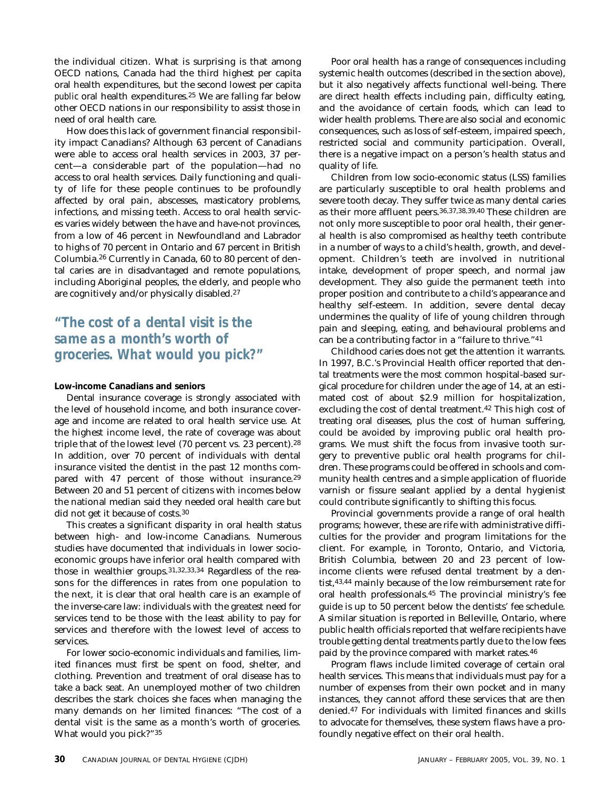the individual citizen. What is surprising is that among OECD nations, Canada had the third highest per capita oral health expenditures, but the second lowest per capita *public* oral health expenditures.25 We are falling far below other OECD nations in our responsibility to assist those in need of oral health care.

How does this lack of government financial responsibility impact Canadians? Although 63 percent of Canadians were able to access oral health services in 2003, 37 percent—a considerable part of the population—had no access to oral health services. Daily functioning and quality of life for these people continues to be profoundly affected by oral pain, abscesses, masticatory problems, infections, and missing teeth. Access to oral health services varies widely between the have and have-not provinces, from a low of 46 percent in Newfoundland and Labrador to highs of 70 percent in Ontario and 67 percent in British Columbia.26 Currently in Canada, 60 to 80 percent of dental caries are in disadvantaged and remote populations, including Aboriginal peoples, the elderly, and people who are cognitively and/or physically disabled.27

### *"The cost of a dental visit is the same as a month's worth of groceries. What would you pick?"*

### **Low-income Canadians and seniors**

Dental insurance coverage is strongly associated with the level of household income, and both insurance coverage and income are related to oral health service use. At the highest income level, the rate of coverage was about triple that of the lowest level (70 percent vs. 23 percent).28 In addition, over 70 percent of individuals with dental insurance visited the dentist in the past 12 months compared with 47 percent of those without insurance.<sup>29</sup> Between 20 and 51 percent of citizens with incomes below the national median said they needed oral health care but did not get it because of costs.30

This creates a significant disparity in oral health status between high- and low-income Canadians. Numerous studies have documented that individuals in lower socioeconomic groups have inferior oral health compared with those in wealthier groups.31,32,33,34 Regardless of the reasons for the differences in rates from one population to the next, it is clear that oral health care is an example of the inverse-care law: individuals with the greatest need for services tend to be those with the least ability to pay for services and therefore with the lowest level of access to services.

For lower socio-economic individuals and families, limited finances must first be spent on food, shelter, and clothing. Prevention and treatment of oral disease has to take a back seat. An unemployed mother of two children describes the stark choices she faces when managing the many demands on her limited finances: "The cost of a dental visit is the same as a month's worth of groceries. What would you pick?"35

Poor oral health has a range of consequences including systemic health outcomes (described in the section above), but it also negatively affects functional well-being. There are direct health effects including pain, difficulty eating, and the avoidance of certain foods, which can lead to wider health problems. There are also social and economic consequences, such as loss of self-esteem, impaired speech, restricted social and community participation. Overall, there is a negative impact on a person's health status and quality of life.

Children from low socio-economic status (LSS) families are particularly susceptible to oral health problems and severe tooth decay. They suffer twice as many dental caries as their more affluent peers.36,37,38,39,40 These children are not only more susceptible to poor oral health, their general health is also compromised as healthy teeth contribute in a number of ways to a child's health, growth, and development. Children's teeth are involved in nutritional intake, development of proper speech, and normal jaw development. They also guide the permanent teeth into proper position and contribute to a child's appearance and healthy self-esteem. In addition, severe dental decay undermines the quality of life of young children through pain and sleeping, eating, and behavioural problems and can be a contributing factor in a "failure to thrive."41

Childhood caries does not get the attention it warrants. In 1997, B.C.'s Provincial Health officer reported that dental treatments were the most common hospital-based surgical procedure for children under the age of 14, at an estimated cost of about \$2.9 million for hospitalization, excluding the cost of dental treatment.<sup>42</sup> This high cost of treating oral diseases, plus the cost of human suffering, could be avoided by improving public oral health programs. We must shift the focus from invasive tooth surgery to preventive public oral health programs for children. These programs could be offered in schools and community health centres and a simple application of fluoride varnish or fissure sealant applied by a dental hygienist could contribute significantly to shifting this focus.

Provincial governments provide a range of oral health programs; however, these are rife with administrative difficulties for the provider and program limitations for the client. For example, in Toronto, Ontario, and Victoria, British Columbia, between 20 and 23 percent of lowincome clients were refused dental treatment by a dentist,43,44 mainly because of the low reimbursement rate for oral health professionals.45 The provincial ministry's fee guide is up to 50 percent below the dentists' fee schedule. A similar situation is reported in Belleville, Ontario, where public health officials reported that welfare recipients have trouble getting dental treatments partly due to the low fees paid by the province compared with market rates.<sup>46</sup>

Program flaws include limited coverage of certain oral health services. This means that individuals must pay for a number of expenses from their own pocket and in many instances, they cannot afford these services that are then denied.47 For individuals with limited finances and skills to advocate for themselves, these system flaws have a profoundly negative effect on their oral health.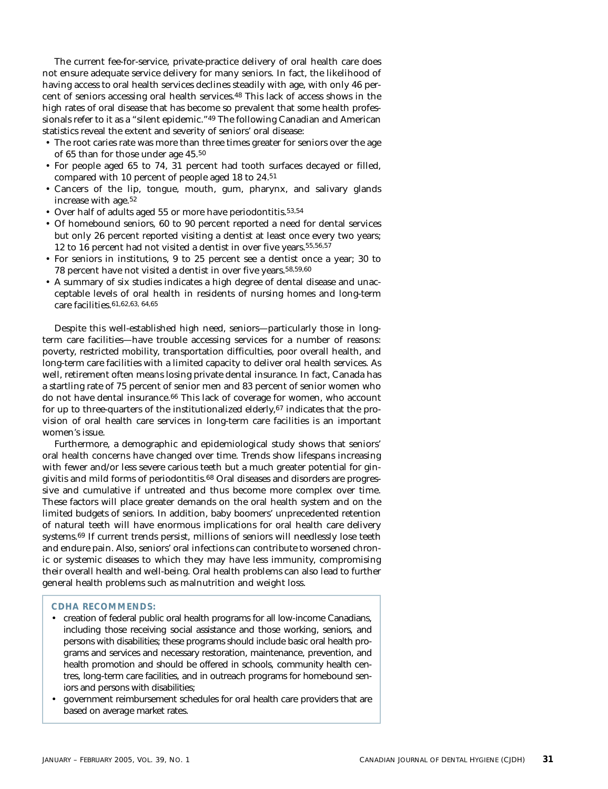The current fee-for-service, private-practice delivery of oral health care does not ensure adequate service delivery for many seniors. In fact, the likelihood of having access to oral health services declines steadily with age, with only 46 percent of seniors accessing oral health services.48 This lack of access shows in the high rates of oral disease that has become so prevalent that some health professionals refer to it as a "silent epidemic."49 The following Canadian and American statistics reveal the extent and severity of seniors' oral disease:

- The root caries rate was more than three times greater for seniors over the age of 65 than for those under age 45.50
- For people aged 65 to 74, 31 percent had tooth surfaces decayed or filled, compared with 10 percent of people aged 18 to 24.51
- Cancers of the lip, tongue, mouth, gum, pharynx, and salivary glands increase with age.52
- Over half of adults aged 55 or more have periodontitis.<sup>53,54</sup>
- Of homebound seniors, 60 to 90 percent reported a need for dental services but only 26 percent reported visiting a dentist at least once every two years; 12 to 16 percent had not visited a dentist in over five years.<sup>55,56,57</sup>
- For seniors in institutions, 9 to 25 percent see a dentist once a year; 30 to 78 percent have not visited a dentist in over five years.<sup>58,59,60</sup>
- A summary of six studies indicates a high degree of dental disease and unacceptable levels of oral health in residents of nursing homes and long-term care facilities.61,62,63, 64,65

Despite this well-established high need, seniors—particularly those in longterm care facilities—have trouble accessing services for a number of reasons: poverty, restricted mobility, transportation difficulties, poor overall health, and long-term care facilities with a limited capacity to deliver oral health services. As well, retirement often means losing private dental insurance. In fact, Canada has a startling rate of 75 percent of senior men and 83 percent of senior women who do not have dental insurance.<sup>66</sup> This lack of coverage for women, who account for up to three-quarters of the institutionalized elderly,<sup>67</sup> indicates that the provision of oral health care services in long-term care facilities is an important women's issue.

Furthermore, a demographic and epidemiological study shows that seniors' oral health concerns have changed over time. Trends show lifespans increasing with fewer and/or less severe carious teeth but a much greater potential for gingivitis and mild forms of periodontitis.68 Oral diseases and disorders are progressive and cumulative if untreated and thus become more complex over time. These factors will place greater demands on the oral health system and on the limited budgets of seniors. In addition, baby boomers' unprecedented retention of natural teeth will have enormous implications for oral health care delivery systems.69 If current trends persist, millions of seniors will needlessly lose teeth and endure pain. Also, seniors' oral infections can contribute to worsened chronic or systemic diseases to which they may have less immunity, compromising their overall health and well-being. Oral health problems can also lead to further general health problems such as malnutrition and weight loss.

### **CDHA RECOMMENDS:**

- creation of federal public oral health programs for all low-income Canadians, including those receiving social assistance and those working, seniors, and persons with disabilities; these programs should include basic oral health programs and services and necessary restoration, maintenance, prevention, and health promotion and should be offered in schools, community health centres, long-term care facilities, and in outreach programs for homebound seniors and persons with disabilities;
- government reimbursement schedules for oral health care providers that are based on average market rates.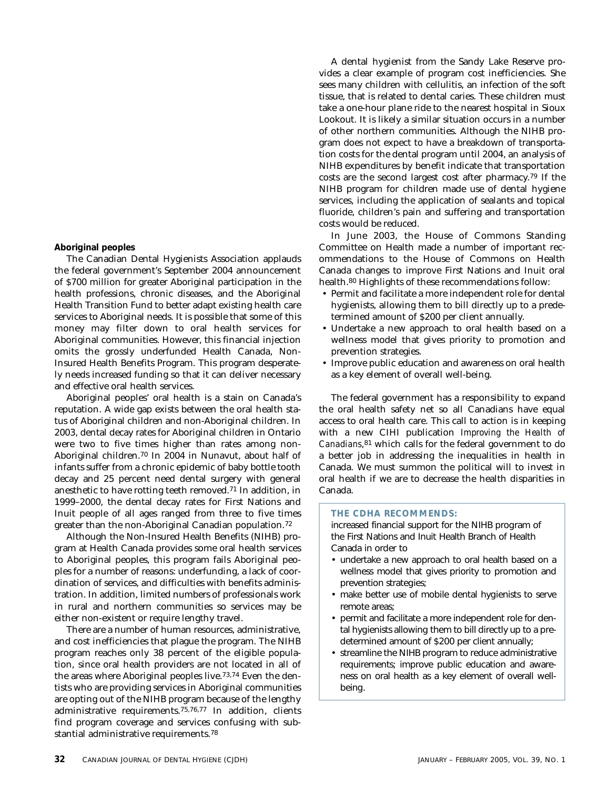### **Aboriginal peoples**

The Canadian Dental Hygienists Association applauds the federal government's September 2004 announcement of \$700 million for greater Aboriginal participation in the health professions, chronic diseases, and the Aboriginal Health Transition Fund to better adapt existing health care services to Aboriginal needs. It is possible that some of this money may filter down to oral health services for Aboriginal communities. However, this financial injection omits the grossly underfunded Health Canada, Non-Insured Health Benefits Program. This program desperately needs increased funding so that it can deliver necessary and effective oral health services.

Aboriginal peoples' oral health is a stain on Canada's reputation. A wide gap exists between the oral health status of Aboriginal children and non-Aboriginal children. In 2003, dental decay rates for Aboriginal children in Ontario were two to five times higher than rates among non-Aboriginal children.70 In 2004 in Nunavut, about half of infants suffer from a chronic epidemic of baby bottle tooth decay and 25 percent need dental surgery with general anesthetic to have rotting teeth removed.71 In addition, in 1999–2000, the dental decay rates for First Nations and Inuit people of all ages ranged from three to five times greater than the non-Aboriginal Canadian population.72

Although the Non-Insured Health Benefits (NIHB) program at Health Canada provides some oral health services to Aboriginal peoples, this program fails Aboriginal peoples for a number of reasons: underfunding, a lack of coordination of services, and difficulties with benefits administration. In addition, limited numbers of professionals work in rural and northern communities so services may be either non-existent or require lengthy travel.

There are a number of human resources, administrative, and cost inefficiencies that plague the program. The NIHB program reaches only 38 percent of the eligible population, since oral health providers are not located in all of the areas where Aboriginal peoples live.73,74 Even the dentists who are providing services in Aboriginal communities are opting out of the NIHB program because of the lengthy administrative requirements.75,76,77 In addition, clients find program coverage and services confusing with substantial administrative requirements.78

A dental hygienist from the Sandy Lake Reserve provides a clear example of program cost inefficiencies. She sees many children with cellulitis, an infection of the soft tissue, that is related to dental caries. These children must take a one-hour plane ride to the nearest hospital in Sioux Lookout. It is likely a similar situation occurs in a number of other northern communities. Although the NIHB program does not expect to have a breakdown of transportation costs for the dental program until 2004, an analysis of NIHB expenditures by benefit indicate that transportation costs are the second largest cost after pharmacy.79 If the NIHB program for children made use of dental hygiene services, including the application of sealants and topical fluoride, children's pain and suffering and transportation costs would be reduced.

In June 2003, the House of Commons Standing Committee on Health made a number of important recommendations to the House of Commons on Health Canada changes to improve First Nations and Inuit oral health.80 Highlights of these recommendations follow:

- Permit and facilitate a more independent role for dental hygienists, allowing them to bill directly up to a predetermined amount of \$200 per client annually.
- Undertake a new approach to oral health based on a wellness model that gives priority to promotion and prevention strategies.
- Improve public education and awareness on oral health as a key element of overall well-being.

The federal government has a responsibility to expand the oral health safety net so all Canadians have equal access to oral health care. This call to action is in keeping with a new CIHI publication *Improving the Health of Canadians*,81 which calls for the federal government to do a better job in addressing the inequalities in health in Canada. We must summon the political will to invest in oral health if we are to decrease the health disparities in Canada.

### **THE CDHA RECOMMENDS:**

increased financial support for the NIHB program of the First Nations and Inuit Health Branch of Health Canada in order to

- undertake a new approach to oral health based on a wellness model that gives priority to promotion and prevention strategies;
- make better use of mobile dental hygienists to serve remote areas;
- permit and facilitate a more independent role for dental hygienists allowing them to bill directly up to a predetermined amount of \$200 per client annually;
- streamline the NIHB program to reduce administrative requirements; improve public education and awareness on oral health as a key element of overall wellbeing.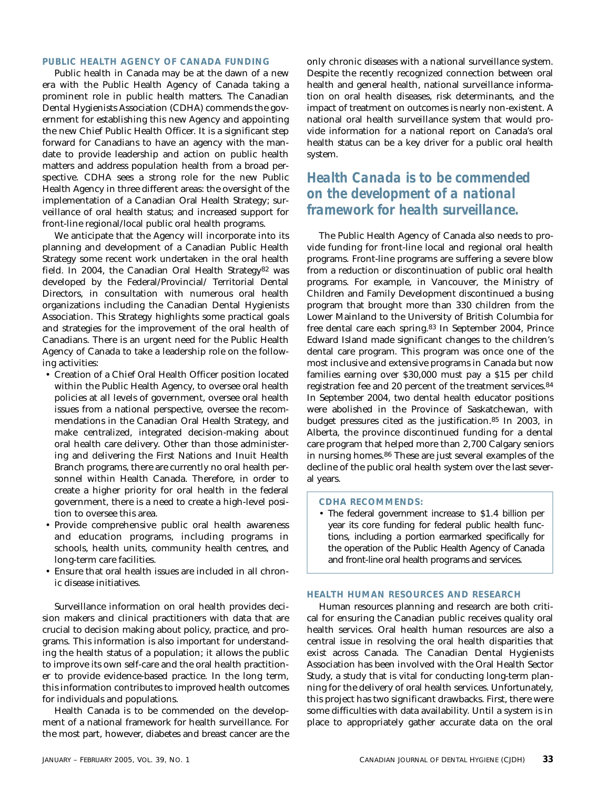### **PUBLIC HEALTH AGENCY OF CANADA FUNDING**

Public health in Canada may be at the dawn of a new era with the Public Health Agency of Canada taking a prominent role in public health matters. The Canadian Dental Hygienists Association (CDHA) commends the government for establishing this new Agency and appointing the new Chief Public Health Officer. It is a significant step forward for Canadians to have an agency with the mandate to provide leadership and action on public health matters and address population health from a broad perspective. CDHA sees a strong role for the new Public Health Agency in three different areas: the oversight of the implementation of a Canadian Oral Health Strategy; surveillance of oral health status; and increased support for front-line regional/local public oral health programs.

We anticipate that the Agency will incorporate into its planning and development of a Canadian Public Health Strategy some recent work undertaken in the oral health field. In 2004, the Canadian Oral Health Strategy<sup>82</sup> was developed by the Federal/Provincial/ Territorial Dental Directors, in consultation with numerous oral health organizations including the Canadian Dental Hygienists Association. This Strategy highlights some practical goals and strategies for the improvement of the oral health of Canadians. There is an urgent need for the Public Health Agency of Canada to take a leadership role on the following activities:

- Creation of a Chief Oral Health Officer position located within the Public Health Agency, to oversee oral health policies at all levels of government, oversee oral health issues from a national perspective, oversee the recommendations in the Canadian Oral Health Strategy, and make centralized, integrated decision-making about oral health care delivery. Other than those administering and delivering the First Nations and Inuit Health Branch programs, there are currently no oral health personnel within Health Canada. Therefore, in order to create a higher priority for oral health in the federal government, there is a need to create a high-level position to oversee this area.
- Provide comprehensive public oral health awareness and education programs, including programs in schools, health units, community health centres, and long-term care facilities.
- Ensure that oral health issues are included in all chronic disease initiatives.

Surveillance information on oral health provides decision makers and clinical practitioners with data that are crucial to decision making about policy, practice, and programs. This information is also important for understanding the health status of a population; it allows the public to improve its own self-care and the oral health practitioner to provide evidence-based practice. In the long term, this information contributes to improved health outcomes for individuals and populations.

Health Canada is to be commended on the development of a national framework for health surveillance. For the most part, however, diabetes and breast cancer are the only chronic diseases with a national surveillance system. Despite the recently recognized connection between oral health and general health, national surveillance information on oral health diseases, risk determinants, and the impact of treatment on outcomes is nearly non-existent. A national oral health surveillance system that would provide information for a national report on Canada's oral health status can be a key driver for a public oral health system.

### *Health Canada is to be commended on the development of a national framework for health surveillance.*

The Public Health Agency of Canada also needs to provide funding for front-line local and regional oral health programs. Front-line programs are suffering a severe blow from a reduction or discontinuation of public oral health programs. For example, in Vancouver, the Ministry of Children and Family Development discontinued a busing program that brought more than 330 children from the Lower Mainland to the University of British Columbia for free dental care each spring.83 In September 2004, Prince Edward Island made significant changes to the children's dental care program. This program was once one of the most inclusive and extensive programs in Canada but now families earning over \$30,000 must pay a \$15 per child registration fee and 20 percent of the treatment services.84 In September 2004, two dental health educator positions were abolished in the Province of Saskatchewan, with budget pressures cited as the justification.85 In 2003, in Alberta, the province discontinued funding for a dental care program that helped more than 2,700 Calgary seniors in nursing homes.86 These are just several examples of the decline of the public oral health system over the last several years.

### **CDHA RECOMMENDS:**

• The federal government increase to \$1.4 billion per year its core funding for federal public health functions, including a portion earmarked specifically for the operation of the Public Health Agency of Canada and front-line oral health programs and services.

### **HEALTH HUMAN RESOURCES AND RESEARCH**

Human resources planning and research are both critical for ensuring the Canadian public receives quality oral health services. Oral health human resources are also a central issue in resolving the oral health disparities that exist across Canada. The Canadian Dental Hygienists Association has been involved with the Oral Health Sector Study, a study that is vital for conducting long-term planning for the delivery of oral health services. Unfortunately, this project has two significant drawbacks. First, there were some difficulties with data availability. Until a system is in place to appropriately gather accurate data on the oral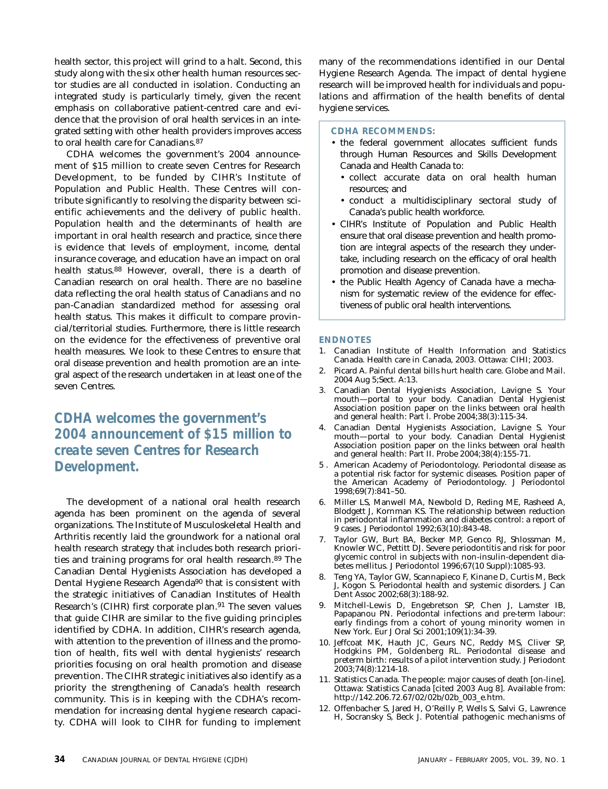health sector, this project will grind to a halt. Second, this study along with the six other health human resources sector studies are all conducted in isolation. Conducting an integrated study is particularly timely, given the recent emphasis on collaborative patient-centred care and evidence that the provision of oral health services in an integrated setting with other health providers improves access to oral health care for Canadians.87

CDHA welcomes the government's 2004 announcement of \$15 million to create seven Centres for Research Development, to be funded by CIHR's Institute of Population and Public Health. These Centres will contribute significantly to resolving the disparity between scientific achievements and the delivery of public health. Population health and the determinants of health are important in oral health research and practice, since there is evidence that levels of employment, income, dental insurance coverage, and education have an impact on oral health status.<sup>88</sup> However, overall, there is a dearth of Canadian research on oral health. There are no baseline data reflecting the oral health status of Canadians and no pan-Canadian standardized method for assessing oral health status. This makes it difficult to compare provincial/territorial studies. Furthermore, there is little research on the evidence for the effectiveness of preventive oral health measures. We look to these Centres to ensure that oral disease prevention and health promotion are an integral aspect of the research undertaken in at least one of the seven Centres.

*CDHA welcomes the government's 2004 announcement of \$15 million to create seven Centres for Research Development.*

The development of a national oral health research agenda has been prominent on the agenda of several organizations. The Institute of Musculoskeletal Health and Arthritis recently laid the groundwork for a national oral health research strategy that includes both research priorities and training programs for oral health research.89 The Canadian Dental Hygienists Association has developed a Dental Hygiene Research Agenda<sup>90</sup> that is consistent with the strategic initiatives of Canadian Institutes of Health Research's (CIHR) first corporate plan.91 The seven values that guide CIHR are similar to the five guiding principles identified by CDHA. In addition, CIHR's research agenda, with attention to the prevention of illness and the promotion of health, fits well with dental hygienists' research priorities focusing on oral health promotion and disease prevention. The CIHR strategic initiatives also identify as a priority the strengthening of Canada's health research community. This is in keeping with the CDHA's recommendation for increasing dental hygiene research capacity. CDHA will look to CIHR for funding to implement

many of the recommendations identified in our Dental Hygiene Research Agenda. The impact of dental hygiene research will be improved health for individuals and populations and affirmation of the health benefits of dental hygiene services.

### **CDHA RECOMMENDS:**

- the federal government allocates sufficient funds through Human Resources and Skills Development Canada and Health Canada to:
	- collect accurate data on oral health human resources; and
	- conduct a multidisciplinary sectoral study of Canada's public health workforce.
- CIHR's Institute of Population and Public Health ensure that oral disease prevention and health promotion are integral aspects of the research they undertake, including research on the efficacy of oral health promotion and disease prevention.
- the Public Health Agency of Canada have a mechanism for systematic review of the evidence for effectiveness of public oral health interventions.

#### **ENDNOTES**

- 1. Canadian Institute of Health Information and Statistics Canada. Health care in Canada, 2003. Ottawa: CIHI; 2003.
- 2. Picard A. Painful dental bills hurt health care. Globe and Mail. 2004 Aug 5;Sect. A:13.
- 3. Canadian Dental Hygienists Association, Lavigne S. Your mouth—portal to your body. Canadian Dental Hygienist Association position paper on the links between oral health and general health: Part l. Probe 2004;38(3):115-34.
- 4. Canadian Dental Hygienists Association, Lavigne S. Your mouth—portal to your body. Canadian Dental Hygienist Association position paper on the links between oral health and general health: Part II. Probe 2004;38(4):155-71.
- 5 . American Academy of Periodontology. Periodontal disease as a potential risk factor for systemic diseases. Position paper of the American Academy of Periodontology. J Periodontol 1998;69(7):841–50.
- 6. Miller LS, Manwell MA, Newbold D, Reding ME, Rasheed A, Blodgett J, Kornman KS. The relationship between reduction in periodontal inflammation and diabetes control: a report of 9 cases. J Periodontol 1992;63(10):843-48.
- 7. Taylor GW, Burt BA, Becker MP, Genco RJ, Shlossman M, Knowler WC, Pettitt DJ. Severe periodontitis and risk for poor glycemic control in subjects with non-insulin-dependent diabetes mellitus. J Periodontol 1996;67(10 Suppl):1085-93.
- 8. Teng YA, Taylor GW, Scannapieco F, Kinane D, Curtis M, Beck J, Kogon S. Periodontal health and systemic disorders. J Can Dent Assoc 2002;68(3):188-92.
- 9. Mitchell-Lewis D, Engebretson SP, Chen J, Lamster IB, Papapanou PN. Periodontal infections and pre-term labour: early findings from a cohort of young minority women in New York. Eur J Oral Sci 2001;109(1):34-39.
- 10. Jeffcoat MK, Hauth JC, Geurs NC, Reddy MS, Cliver SP, Hodgkins PM, Goldenberg RL. Periodontal disease and preterm birth: results of a pilot intervention study. J Periodont 2003;74(8):1214-18.
- 11. Statistics Canada. The people: major causes of death [on-line]. Ottawa: Statistics Canada [cited 2003 Aug 8]. Available from: http://142.206.72.67/02/02b/02b\_003\_e.htm.
- 12. Offenbacher S, Jared H, O'Reilly P, Wells S, Salvi G, Lawrence H, Socransky S, Beck J. Potential pathogenic mechanisms of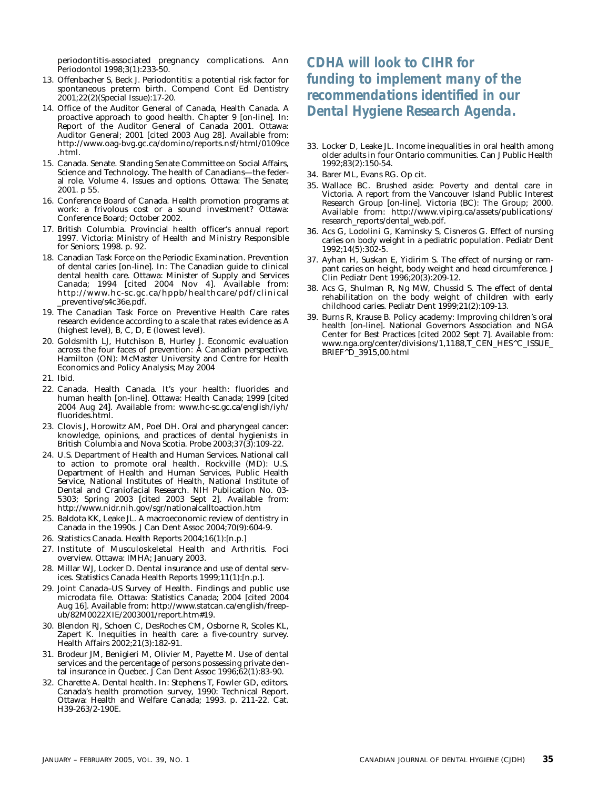periodontitis-associated pregnancy complications. Ann Periodontol 1998;3(1):233-50.

- 13. Offenbacher S, Beck J. Periodontitis: a potential risk factor for spontaneous preterm birth. Compend Cont Ed Dentistry 2001;22(2)(Special Issue):17-20.
- 14. Office of the Auditor General of Canada, Health Canada. A proactive approach to good health. Chapter 9 [on-line]. In: Report of the Auditor General of Canada 2001. Ottawa: Auditor General; 2001 [cited 2003 Aug 28]. Available from: http://www.oag-bvg.gc.ca/domino/reports.nsf/html/0109ce .html.
- 15. Canada. Senate. Standing Senate Committee on Social Affairs, Science and Technology. The health of Canadians—the federal role. Volume 4. Issues and options. Ottawa: The Senate; 2001. p 55.
- 16. Conference Board of Canada. Health promotion programs at work: a frivolous cost or a sound investment? Ottawa: Conference Board; October 2002.
- 17. British Columbia. Provincial health officer's annual report 1997. Victoria: Ministry of Health and Ministry Responsible for Seniors; 1998. p. 92.
- 18. Canadian Task Force on the Periodic Examination. Prevention of dental caries [on-line]. In: The Canadian guide to clinical dental health care. Ottawa: Minister of Supply and Services Canada; 1994 [cited 2004 Nov 4]. Available from: http://www.hc-sc.gc.ca/hppb/healthcare/pdf/clinical \_preventive/s4c36e.pdf.
- 19. The Canadian Task Force on Preventive Health Care rates research evidence according to a scale that rates evidence as A (highest level), B, C, D, E (lowest level).
- 20. Goldsmith LJ, Hutchison B, Hurley J. Economic evaluation across the four faces of prevention: A Canadian perspective. Hamilton (ON): McMaster University and Centre for Health Economics and Policy Analysis; May 2004
- 21. Ibid.
- 22. Canada. Health Canada. It's your health: fluorides and human health [on-line]. Ottawa: Health Canada; 1999 [cited 2004 Aug 24]. Available from: www.hc-sc.gc.ca/english/iyh/ fluorides.html.
- 23. Clovis J, Horowitz AM, Poel DH. Oral and pharyngeal cancer: knowledge, opinions, and practices of dental hygienists in British Columbia and Nova Scotia. Probe 2003;37(3):109-22.
- 24. U.S. Department of Health and Human Services. National call to action to promote oral health. Rockville (MD): U.S. Department of Health and Human Services, Public Health Service, National Institutes of Health, National Institute of Dental and Craniofacial Research. NIH Publication No. 03- 5303; Spring 2003 [cited 2003 Sept 2]. Available from: http://www.nidr.nih.gov/sgr/nationalcalltoaction.htm
- 25. Baldota KK, Leake JL. A macroeconomic review of dentistry in Canada in the 1990s. J Can Dent Assoc 2004;70(9):604-9.
- 26. Statistics Canada. Health Reports 2004;16(1):[n.p.]
- 27. Institute of Musculoskeletal Health and Arthritis. Foci overview. Ottawa: IMHA; January 2003.
- 28. Millar WJ, Locker D. Dental insurance and use of dental services. Statistics Canada Health Reports 1999;11(1):[n.p.].
- 29. Joint Canada–US Survey of Health. Findings and public use microdata file. Ottawa: Statistics Canada; 2004 [cited 2004 Aug 16]. Available from: http://www.statcan.ca/english/freepub/82M0022XIE/2003001/report.htm#19.
- 30. Blendon RJ, Schoen C, DesRoches CM, Osborne R, Scoles KL, Zapert K. Inequities in health care: a five-country survey. Health Affairs 2002;21(3):182-91.
- 31. Brodeur JM, Benigieri M, Olivier M, Payette M. Use of dental services and the percentage of persons possessing private dental insurance in Quebec. J Can Dent Assoc 1996;62(1):83-90.
- 32. Charette A. Dental health. In: Stephens T, Fowler GD, editors. Canada's health promotion survey, 1990: Technical Report. Ottawa: Health and Welfare Canada; 1993. p. 211-22. Cat. H39-263/2-190E.

### *CDHA will look to CIHR for funding to implement many of the recommendations identified in our Dental Hygiene Research Agenda.*

- 33. Locker D, Leake JL. Income inequalities in oral health among older adults in four Ontario communities. Can J Public Health 1992;83(2):150-54.
- 34. Barer ML, Evans RG. Op cit.
- 35. Wallace BC. Brushed aside: Poverty and dental care in Victoria. A report from the Vancouver Island Public Interest Research Group [on-line]. Victoria (BC): The Group; 2000. Available from: http://www.vipirg.ca/assets/publications/ research\_reports/dental\_web.pdf.
- 36. Acs G, Lodolini G, Kaminsky S, Cisneros G. Effect of nursing caries on body weight in a pediatric population. Pediatr Dent 1992;14(5):302-5.
- 37. Ayhan H, Suskan E, Yidirim S. The effect of nursing or rampant caries on height, body weight and head circumference. J Clin Pediatr Dent 1996;20(3):209-12.
- 38. Acs G, Shulman R, Ng MW, Chussid S. The effect of dental rehabilitation on the body weight of children with early childhood caries. Pediatr Dent 1999;21(2):109-13.
- 39. Burns R, Krause B. Policy academy: Improving children's oral health [on-line]. National Governors Association and NGA Center for Best Practices [cited 2002 Sept 7]. Available from: www.nga.org/center/divisions/1,1188,T\_CEN\_HES^C\_ISSUE\_ BRIEF^D\_3915,00.html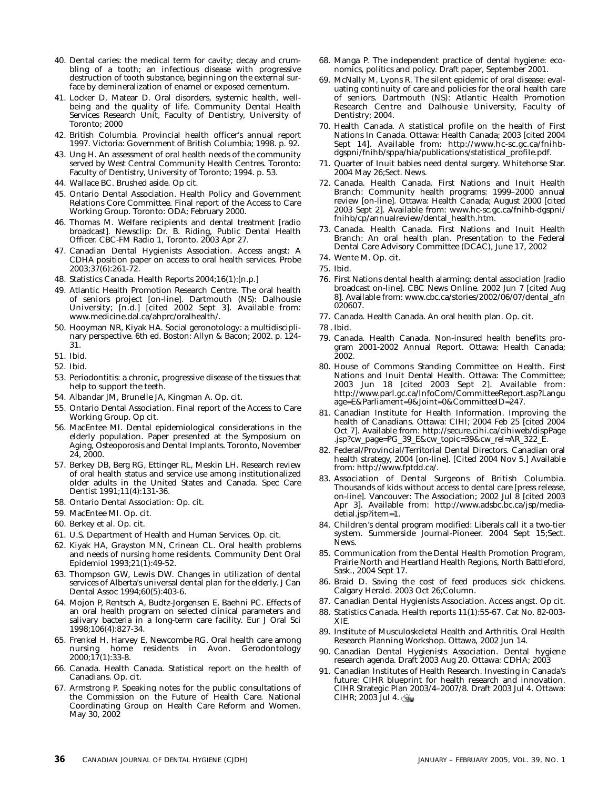- 40. Dental caries: the medical term for cavity; decay and crumbling of a tooth; an infectious disease with progressive destruction of tooth substance, beginning on the external surface by demineralization of enamel or exposed cementum.
- 41. Locker D, Matear D. Oral disorders, systemic health, wellbeing and the quality of life. Community Dental Health Services Research Unit, Faculty of Dentistry, University of Toronto; 2000
- 42. British Columbia. Provincial health officer's annual report 1997. Victoria: Government of British Columbia; 1998. p. 92.
- 43. Ung H. An assessment of oral health needs of the community served by West Central Community Health Centres. Toronto: Faculty of Dentistry, University of Toronto; 1994. p. 53.
- 44. Wallace BC. Brushed aside. Op cit.
- 45. Ontario Dental Association. Health Policy and Government Relations Core Committee. Final report of the Access to Care Working Group. Toronto: ODA; February 2000.
- 46. Thomas M. Welfare recipients and dental treatment [radio broadcast]. Newsclip: Dr. B. Riding, Public Dental Health Officer. CBC-FM Radio 1, Toronto. 2003 Apr 27.
- 47. Canadian Dental Hygienists Association. Access angst: A CDHA position paper on access to oral health services. Probe 2003;37(6):261-72.
- 48. Statistics Canada. Health Reports 2004;16(1):[n.p.]
- 49. Atlantic Health Promotion Research Centre. The oral health of seniors project [on-line]. Dartmouth (NS): Dalhousie University; [n.d.] [cited 2002 Sept 3]. Available from: www.medicine.dal.ca/ahprc/oralhealth/.
- 50. Hooyman NR, Kiyak HA. Social geronotology: a multidisciplinary perspective. 6th ed. Boston: Allyn & Bacon; 2002. p. 124- 31.
- 51. Ibid.
- 52. Ibid.
- 53. Periodontitis: a chronic, progressive disease of the tissues that help to support the teeth.
- 54. Albandar JM, Brunelle JA, Kingman A. Op. cit.
- 55. Ontario Dental Association. Final report of the Access to Care Working Group. Op cit.
- 56. MacEntee MI. Dental epidemiological considerations in the elderly population. Paper presented at the Symposium on Aging, Osteoporosis and Dental Implants. Toronto, November 24, 2000.
- 57. Berkey DB, Berg RG, Ettinger RL, Meskin LH. Research review of oral health status and service use among institutionalized older adults in the United States and Canada. Spec Care Dentist 1991;11(4):131-36.
- 58. Ontario Dental Association: Op. cit.
- 59. MacEntee MI. Op. cit*.*
- 60. Berkey et al. Op. cit.
- 61. U.S. Department of Health and Human Services. Op. cit.
- 62. Kiyak HA, Grayston MN, Crinean CL. Oral health problems and needs of nursing home residents. Community Dent Oral Epidemiol 1993;21(1):49-52.
- 63. Thompson GW, Lewis DW. Changes in utilization of dental services of Alberta's universal dental plan for the elderly. J Can Dental Assoc 1994;60(5):403-6.
- 64. Mojon P, Rentsch A, Budtz-Jorgensen E, Baehni PC. Effects of an oral health program on selected clinical parameters and salivary bacteria in a long-term care facility. Eur J Oral Sci 1998;106(4):827-34.
- 65. Frenkel H, Harvey E, Newcombe RG. Oral health care among nursing home residents in Avon. Gerodontology 2000;17(1):33-8.
- 66. Canada. Health Canada. Statistical report on the health of Canadians. Op. cit.
- 67. Armstrong P. Speaking notes for the public consultations of the Commission on the Future of Health Care. National Coordinating Group on Health Care Reform and Women. May 30, 2002
- 68. Manga P. The independent practice of dental hygiene: economics, politics and policy. Draft paper, September 2001.
- 69. McNally M, Lyons R. The silent epidemic of oral disease: evaluating continuity of care and policies for the oral health care of seniors. Dartmouth (NS): Atlantic Health Promotion Research Centre and Dalhousie University, Faculty of Dentistry; 2004.
- 70. Health Canada. A statistical profile on the health of First Nations In Canada. Ottawa: Health Canada; 2003 [cited 2004 Sept 14]. Available from: http://www.hc-sc.gc.ca/fnihbdgspni/fnihb/sppa/hia/publications/statistical\_profile.pdf.
- 71. Quarter of Inuit babies need dental surgery. Whitehorse Star. 2004 May 26;Sect. News.
- 72. Canada. Health Canada. First Nations and Inuit Health Branch: Community health programs: 1999–2000 annual review [on-line]. Ottawa: Health Canada; August 2000 [cited 2003 Sept 2]. Available from: www.hc-sc.gc.ca/fnihb-dgspni/ fnihb/cp/annualreview/dental\_health.htm.
- 73. Canada. Health Canada. First Nations and Inuit Health Branch: An oral health plan. Presentation to the Federal Dental Care Advisory Committee (DCAC), June 17, 2002
- 74. Wente M. Op. cit.
- 75. Ibid.
- 76. First Nations dental health alarming: dental association [radio broadcast on-line]. CBC News Online. 2002 Jun 7 [cited Aug 8]. Available from: www.cbc.ca/stories/2002/06/07/dental\_afn 020607.
- 77. Canada. Health Canada. An oral health plan. Op. cit.
- 78 . Ibid.
- 79. Canada. Health Canada. Non-insured health benefits program 2001-2002 Annual Report. Ottawa: Health Canada; 2002.
- 80. House of Commons Standing Committee on Health. First Nations and Inuit Dental Health. Ottawa: The Committee; 2003 Jun 18 [cited 2003 Sept 2]. Available from: http://www.parl.gc.ca/InfoCom/CommitteeReport.asp?Langu age=E&Parliament=9&Joint=0&CommitteeID=247.
- 81. Canadian Institute for Health Information. Improving the health of Canadians. Ottawa: CIHI; 2004 Feb 25 [cited 2004 Oct 7]. Available from: http://secure.cihi.ca/cihiweb/dispPage .jsp?cw\_page=PG\_39\_E&cw\_topic=39&cw\_rel=AR\_322\_E.
- 82. Federal/Provincial/Territorial Dental Directors. Canadian oral health strategy, 2004 [on-line]. [Cited 2004 Nov 5.] Available from: http://www.fptdd.ca/.
- 83. Association of Dental Surgeons of British Columbia. Thousands of kids without access to dental care [press release, on-line]. Vancouver: The Association; 2002 Jul 8 [cited 2003 Apr 3]. Available from: http://www.adsbc.bc.ca/jsp/mediadetial.jsp?item=1.
- 84. Children's dental program modified: Liberals call it a two-tier system. Summerside Journal-Pioneer. 2004 Sept 15;Sect. News.
- 85. Communication from the Dental Health Promotion Program, Prairie North and Heartland Health Regions, North Battleford, Sask., 2004 Sept 17.
- 86. Braid D. Saving the cost of feed produces sick chickens. Calgary Herald. 2003 Oct 26;Column.
- 87. Canadian Dental Hygienists Association. Access angst. Op cit.
- 88. Statistics Canada. Health reports 11(1):55-67. Cat No. 82-003- XIE.
- 89. Institute of Musculoskeletal Health and Arthritis. Oral Health Research Planning Workshop. Ottawa, 2002 Jun 14.
- 90. Canadian Dental Hygienists Association. Dental hygiene research agenda. Draft 2003 Aug 20. Ottawa: CDHA; 2003
- 91. Canadian Institutes of Health Research. Investing in Canada's future: CIHR blueprint for health research and innovation. CIHR Strategic Plan 2003/4–2007/8. Draft 2003 Jul 4. Ottawa: CIHR; 2003 Jul 4.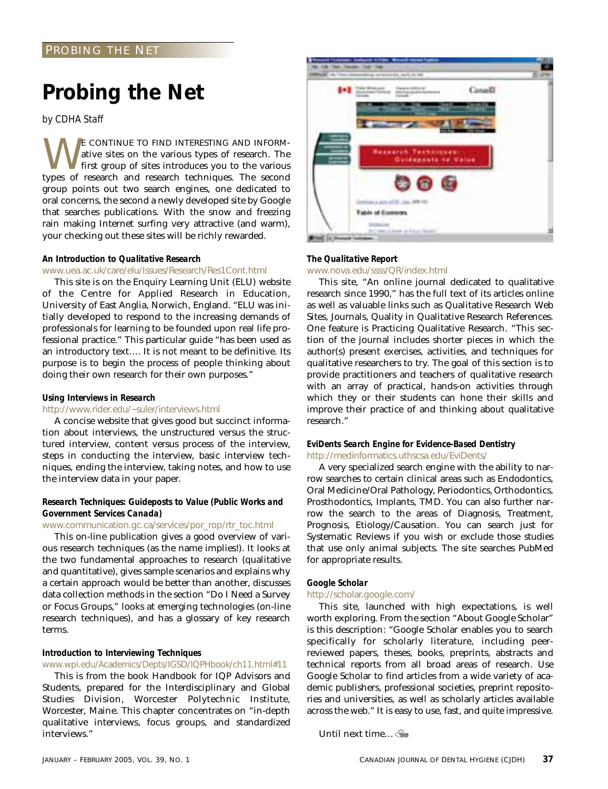## **Probing the Net**

*by CDHA Staff*

WE CONTINUE TO FIND INTERESTING AND INFORM-<br>first group of sites introduces you to the various<br>types of research and research techniques. The second ative sites on the various types of research. The first group of sites introduces you to the various types of research and research techniques. The second group points out two search engines, one dedicated to oral concerns, the second a newly developed site by Google that searches publications. With the snow and freezing rain making Internet surfing very attractive (and warm), your checking out these sites will be richly rewarded.

### *An Introduction to Qualitative Research*

#### www.uea.ac.uk/care/elu/Issues/Research/Res1Cont.html

This site is on the Enquiry Learning Unit (ELU) website of the Centre for Applied Research in Education, University of East Anglia, Norwich, England. "ELU was initially developed to respond to the increasing demands of professionals for learning to be founded upon real life professional practice." This particular guide "has been used as an introductory text…. It is not meant to be definitive. Its purpose is to begin the process of people thinking about doing their own research for their own purposes."

#### *Using Interviews in Research*

#### http://www.rider.edu/~suler/interviews.html

A concise website that gives good but succinct information about interviews, the unstructured versus the structured interview, content versus process of the interview, steps in conducting the interview, basic interview techniques, ending the interview, taking notes, and how to use the interview data in your paper.

### *Research Techniques: Guideposts to Value (Public Works and Government Services Canada)*

### www.communication.gc.ca/services/por\_rop/rtr\_toc.html

This on-line publication gives a good overview of various research techniques (as the name implies!). It looks at the two fundamental approaches to research (qualitative and quantitative), gives sample scenarios and explains why a certain approach would be better than another, discusses data collection methods in the section "Do I Need a Survey or Focus Groups," looks at emerging technologies (on-line research techniques), and has a glossary of key research terms.

### *Introduction to Interviewing Techniques*

#### www.wpi.edu/Academics/Depts/IGSD/IQPHbook/ch11.html#11

This is from the book Handbook for IQP Advisors and Students, prepared for the Interdisciplinary and Global Studies Division, Worcester Polytechnic Institute, Worcester, Maine. This chapter concentrates on "in-depth qualitative interviews, focus groups, and standardized interviews."



### *The Qualitative Report* www.nova.edu/ssss/QR/index.html

This site, "An online journal dedicated to qualitative research since 1990," has the full text of its articles online as well as valuable links such as Qualitative Research Web Sites, Journals, Quality in Qualitative Research References. One feature is Practicing Qualitative Research. "This section of the journal includes shorter pieces in which the author(s) present exercises, activities, and techniques for qualitative researchers to try. The goal of this section is to provide practitioners and teachers of qualitative research with an array of practical, hands-on activities through which they or their students can hone their skills and improve their practice of and thinking about qualitative research."

### *EviDents Search Engine for Evidence-Based Dentistry*

### http://medinformatics.uthscsa.edu/EviDents/

A very specialized search engine with the ability to narrow searches to certain clinical areas such as Endodontics, Oral Medicine/Oral Pathology, Periodontics, Orthodontics, Prosthodontics, Implants, TMD. You can also further narrow the search to the areas of Diagnosis, Treatment, Prognosis, Etiology/Causation. You can search just for Systematic Reviews if you wish or exclude those studies that use only animal subjects. The site searches PubMed for appropriate results.

#### *Google Scholar*

### http://scholar.google.com/

This site, launched with high expectations, is well worth exploring. From the section "About Google Scholar" is this description: "Google Scholar enables you to search specifically for scholarly literature, including peerreviewed papers, theses, books, preprints, abstracts and technical reports from all broad areas of research. Use Google Scholar to find articles from a wide variety of academic publishers, professional societies, preprint repositories and universities, as well as scholarly articles available across the web." It is easy to use, fast, and quite impressive.

Until next time...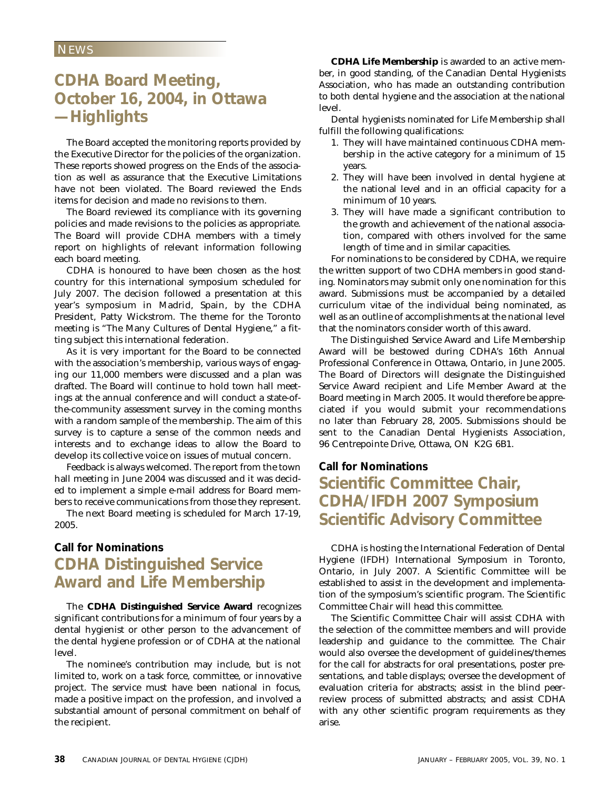## **CDHA Board Meeting, October 16, 2004, in Ottawa —Highlights**

The Board accepted the monitoring reports provided by the Executive Director for the policies of the organization. These reports showed progress on the Ends of the association as well as assurance that the Executive Limitations have not been violated. The Board reviewed the Ends items for decision and made no revisions to them.

The Board reviewed its compliance with its governing policies and made revisions to the policies as appropriate. The Board will provide CDHA members with a timely report on highlights of relevant information following each board meeting.

CDHA is honoured to have been chosen as the host country for this international symposium scheduled for July 2007. The decision followed a presentation at this year's symposium in Madrid, Spain, by the CDHA President, Patty Wickstrom. The theme for the Toronto meeting is "The Many Cultures of Dental Hygiene," a fitting subject this international federation.

As it is very important for the Board to be connected with the association's membership, various ways of engaging our 11,000 members were discussed and a plan was drafted. The Board will continue to hold town hall meetings at the annual conference and will conduct a state-ofthe-community assessment survey in the coming months with a random sample of the membership. The aim of this survey is to capture a sense of the common needs and interests and to exchange ideas to allow the Board to develop its collective voice on issues of mutual concern.

Feedback is always welcomed. The report from the town hall meeting in June 2004 was discussed and it was decided to implement a simple e-mail address for Board members to receive communications from those they represent.

The next Board meeting is scheduled for March 17-19, 2005.

### **Call for Nominations**

## **CDHA Distinguished Service Award and Life Membership**

The **CDHA Distinguished Service Award** recognizes significant contributions for a minimum of four years by a dental hygienist or other person to the advancement of the dental hygiene profession or of CDHA at the national level.

The nominee's contribution may include, but is not limited to, work on a task force, committee, or innovative project. The service must have been national in focus, made a positive impact on the profession, and involved a substantial amount of personal commitment on behalf of the recipient.

**CDHA Life Membership** is awarded to an active member, in good standing, of the Canadian Dental Hygienists Association, who has made an outstanding contribution to both dental hygiene and the association at the national level.

Dental hygienists nominated for Life Membership shall fulfill the following qualifications:

- 1. They will have maintained continuous CDHA membership in the active category for a minimum of 15 years.
- 2. They will have been involved in dental hygiene at the national level and in an official capacity for a minimum of 10 years.
- 3. They will have made a significant contribution to the growth and achievement of the national association, compared with others involved for the same length of time and in similar capacities.

For nominations to be considered by CDHA, we require the written support of two CDHA members in good standing. Nominators may submit only one nomination for this award. Submissions must be accompanied by a detailed curriculum vitae of the individual being nominated, as well as an outline of accomplishments at the national level that the nominators consider worth of this award.

The Distinguished Service Award and Life Membership Award will be bestowed during CDHA's 16th Annual Professional Conference in Ottawa, Ontario, in June 2005. The Board of Directors will designate the Distinguished Service Award recipient and Life Member Award at the Board meeting in March 2005. It would therefore be appreciated if you would submit your recommendations no later than February 28, 2005. Submissions should be sent to the Canadian Dental Hygienists Association, 96 Centrepointe Drive, Ottawa, ON K2G 6B1.

### **Call for Nominations**

### **Scientific Committee Chair, CDHA/IFDH 2007 Symposium Scientific Advisory Committee**

CDHA is hosting the International Federation of Dental Hygiene (IFDH) International Symposium in Toronto, Ontario, in July 2007. A Scientific Committee will be established to assist in the development and implementation of the symposium's scientific program. The Scientific Committee Chair will head this committee.

The Scientific Committee Chair will assist CDHA with the selection of the committee members and will provide leadership and guidance to the committee. The Chair would also oversee the development of guidelines/themes for the call for abstracts for oral presentations, poster presentations, and table displays; oversee the development of evaluation criteria for abstracts; assist in the blind peerreview process of submitted abstracts; and assist CDHA with any other scientific program requirements as they arise.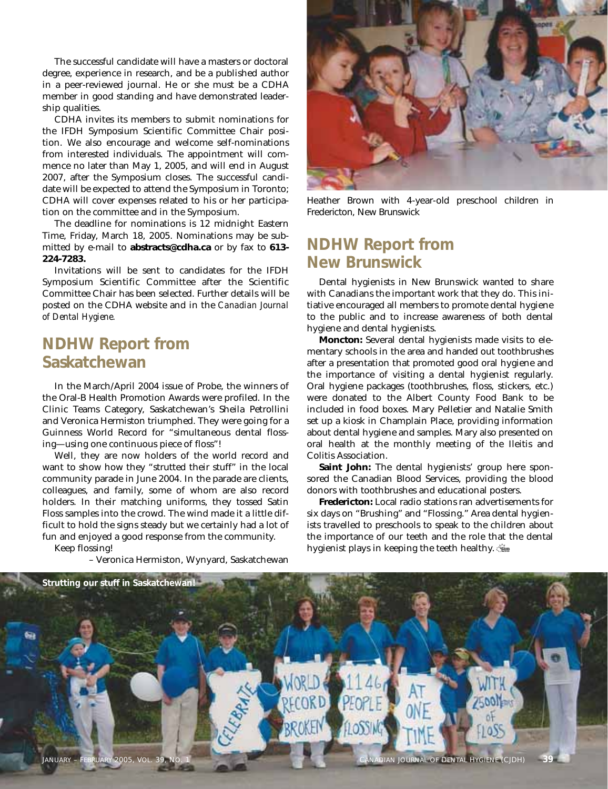The successful candidate will have a masters or doctoral degree, experience in research, and be a published author in a peer-reviewed journal. He or she must be a CDHA member in good standing and have demonstrated leadership qualities.

CDHA invites its members to submit nominations for the IFDH Symposium Scientific Committee Chair position. We also encourage and welcome self-nominations from interested individuals. The appointment will commence no later than May 1, 2005, and will end in August 2007, after the Symposium closes. The successful candidate will be expected to attend the Symposium in Toronto; CDHA will cover expenses related to his or her participation on the committee and in the Symposium.

The deadline for nominations is 12 midnight Eastern Time, Friday, March 18, 2005. Nominations may be submitted by e-mail to **abstracts@cdha.ca** or by fax to **613- 224-7283.**

Invitations will be sent to candidates for the IFDH Symposium Scientific Committee after the Scientific Committee Chair has been selected. Further details will be posted on the CDHA website and in the *Canadian Journal of Dental Hygiene.*

### **NDHW Report from Saskatchewan**

In the March/April 2004 issue of Probe, the winners of the Oral-B Health Promotion Awards were profiled. In the Clinic Teams Category, Saskatchewan's Sheila Petrollini and Veronica Hermiston triumphed. They were going for a Guinness World Record for "simultaneous dental flossing—using one continuous piece of floss"!

Well, they are now holders of the world record and want to show how they "strutted their stuff" in the local community parade in June 2004. In the parade are clients, colleagues, and family, some of whom are also record holders. In their matching uniforms, they tossed Satin Floss samples into the crowd. The wind made it a little difficult to hold the signs steady but we certainly had a lot of fun and enjoyed a good response from the community.

Keep flossing!

– Veronica Hermiston, Wynyard, Saskatchewan



Heather Brown with 4-year-old preschool children in Fredericton, New Brunswick

### **NDHW Report from New Brunswick**

Dental hygienists in New Brunswick wanted to share with Canadians the important work that they do. This initiative encouraged all members to promote dental hygiene to the public and to increase awareness of both dental hygiene and dental hygienists.

**Moncton:** Several dental hygienists made visits to elementary schools in the area and handed out toothbrushes after a presentation that promoted good oral hygiene and the importance of visiting a dental hygienist regularly. Oral hygiene packages (toothbrushes, floss, stickers, etc.) were donated to the Albert County Food Bank to be included in food boxes. Mary Pelletier and Natalie Smith set up a kiosk in Champlain Place, providing information about dental hygiene and samples. Mary also presented on oral health at the monthly meeting of the Ileitis and Colitis Association.

**Saint John:** The dental hygienists' group here sponsored the Canadian Blood Services, providing the blood donors with toothbrushes and educational posters.

**Fredericton:** Local radio stations ran advertisements for six days on "Brushing" and "Flossing." Area dental hygienists travelled to preschools to speak to the children about the importance of our teeth and the role that the dental hygienist plays in keeping the teeth healthy.

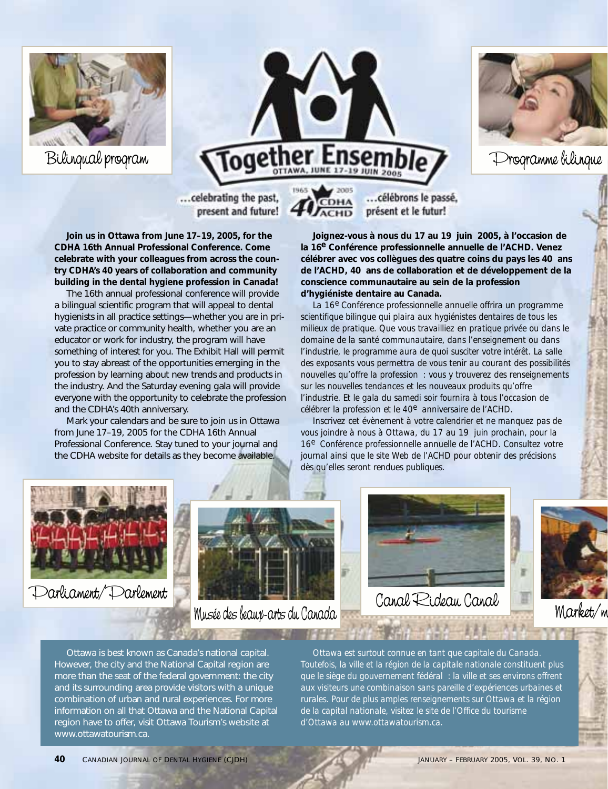



2005

DHA

... célébrons le passé, présent et le futur!

**Join us in Ottawa from June 17–19, 2005, for the CDHA 16th Annual Professional Conference. Come celebrate with your colleagues from across the country CDHA's 40 years of collaboration and community building in the dental hygiene profession in Canada!**

... celebrating the past,

present and future!

The 16th annual professional conference will provide a bilingual scientific program that will appeal to dental hygienists in all practice settings—whether you are in private practice or community health, whether you are an educator or work for industry, the program will have something of interest for you. The Exhibit Hall will permit you to stay abreast of the opportunities emerging in the profession by learning about new trends and products in the industry. And the Saturday evening gala will provide everyone with the opportunity to celebrate the profession and the CDHA's 40th anniversary.

Mark your calendars and be sure to join us in Ottawa from June 17–19, 2005 for the CDHA 16th Annual Professional Conference. Stay tuned to your journal and the CDHA website for details as they become available.

**Joignez-vous à nous du 17 au 19 juin 2005, à l'occasion de la 16e Conférence professionnelle annuelle de l'ACHD. Venez célébrer avec vos collègues des quatre coins du pays les 40 ans de l'ACHD, 40 ans de collaboration et de développement de la conscience communautaire au sein de la profession d'hygiéniste dentaire au Canada.**

*La 16e Conférence professionnelle annuelle offrira un programme scientifique bilingue qui plaira aux hygiénistes dentaires de tous les milieux de pratique. Que vous travailliez en pratique privée ou dans le domaine de la santé communautaire, dans l'enseignement ou dans l'industrie, le programme aura de quoi susciter votre intérêt. La salle des exposants vous permettra de vous tenir au courant des possibilités nouvelles qu'offre la profession : vous y trouverez des renseignements sur les nouvelles tendances et les nouveaux produits qu'offre l'industrie. Et le gala du samedi soir fournira à tous l'occasion de célébrer la profession et le 40e anniversaire de l'ACHD.*

*Inscrivez cet évènement à votre calendrier et ne manquez pas de vous joindre à nous à Ottawa, du 17 au 19 juin prochain, pour la 16e Conférence professionnelle annuelle de l'ACHD. Consultez votre journal ainsi que le site Web de l'ACHD pour obtenir des précisions dès qu'elles seront rendues publiques.*



Parliament/Parlement





Ottawa is best known as Canada's national capital. However, the city and the National Capital region are more than the seat of the federal government: the city and its surrounding area provide visitors with a unique combination of urban and rural experiences. For more information on all that Ottawa and the National Capital region have to offer, visit Ottawa Tourism's website at www.ottawatourism.ca.

*Ottawa est surtout connue en tant que capitale du Canada. Toutefois, la ville et la région de la capitale nationale constituent plus que le siège du gouvernement fédéral : la ville et ses environs offrent aux visiteurs une combinaison sans pareille d'expériences urbaines et rurales. Pour de plus amples renseignements sur Ottawa et la région de la capital nationale, visitez le site de l'Office du tourisme d'Ottawa au www.ottawatourism.ca.*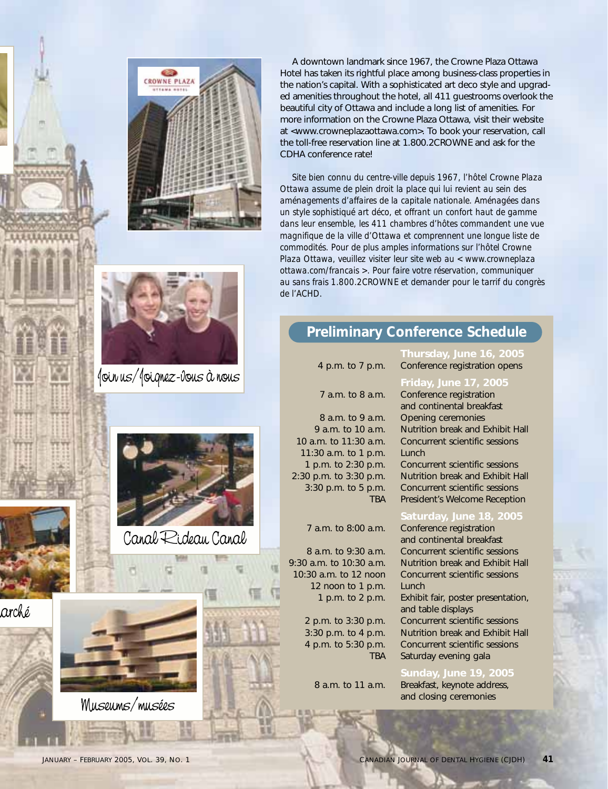

Join us/Joignez-vous à nous



arché



Museums/musées

A downtown landmark since 1967, the Crowne Plaza Ottawa Hotel has taken its rightful place among business-class properties in the nation's capital. With a sophisticated art deco style and upgraded amenities throughout the hotel, all 411 guestrooms overlook the beautiful city of Ottawa and include a long list of amenities. For more information on the Crowne Plaza Ottawa, visit their website at <www.crowneplazaottawa.com>. To book your reservation, call the toll-free reservation line at 1.800.2CROWNE and ask for the CDHA conference rate!

*Site bien connu du centre-ville depuis 1967, l'hôtel Crowne Plaza Ottawa assume de plein droit la place qui lui revient au sein des aménagements d'affaires de la capitale nationale. Aménagées dans un style sophistiqué art déco, et offrant un confort haut de gamme dans leur ensemble, les 411 chambres d'hôtes commandent une vue magnifique de la ville d'Ottawa et comprennent une longue liste de commodités. Pour de plus amples informations sur l'hôtel Crowne Plaza Ottawa, veuillez visiter leur site web au < www.crowneplaza ottawa.com/francais >. Pour faire votre réservation, communiquer au sans frais 1.800.2CROWNE et demander pour le tarrif du congrès de l'ACHD.*

### **Preliminary Conference Schedule**

11:30 a.m. to 1 p.m. Lunch

12 noon to 1 p.m. Lunch

ŧΕ

### **Thursday, June 16, 2005** 4 p.m. to 7 p.m. Conference registration opens

### **Friday, June 17, 2005**

7 a.m. to 8 a.m. Conference registration and continental breakfast 8 a.m. to 9 a.m. Opening ceremonies 9 a.m. to 10 a.m. Nutrition break and Exhibit Hall 10 a.m. to 11:30 a.m. Concurrent scientific sessions

1 p.m. to 2:30 p.m. Concurrent scientific sessions 2:30 p.m. to 3:30 p.m. Nutrition break and Exhibit Hall 3:30 p.m. to 5 p.m. Concurrent scientific sessions TBA President's Welcome Reception

### **Saturday, June 18, 2005**

7 a.m. to 8:00 a.m. Conference registration and continental breakfast 8 a.m. to 9:30 a.m. Concurrent scientific sessions 9:30 a.m. to 10:30 a.m. Nutrition break and Exhibit Hall 10:30 a.m. to 12 noon Concurrent scientific sessions

1 p.m. to 2 p.m. Exhibit fair, poster presentation, and table displays 2 p.m. to 3:30 p.m. Concurrent scientific sessions 3:30 p.m. to 4 p.m. Nutrition break and Exhibit Hall 4 p.m. to 5:30 p.m. Concurrent scientific sessions TBA Saturday evening gala

### **Sunday, June 19, 2005**

8 a.m. to 11 a.m. Breakfast, keynote address, and closing ceremonies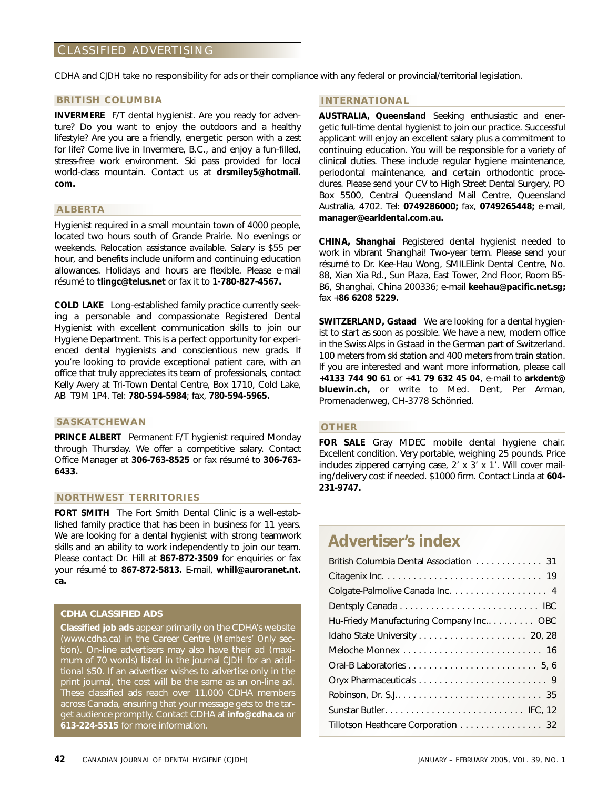### CLASSIFIED ADVERTISING

CDHA and *CJDH* take no responsibility for ads or their compliance with any federal or provincial/territorial legislation.

### **BRITISH COLUMBIA**

**INVERMERE** F/T dental hygienist. Are you ready for adventure? Do you want to enjoy the outdoors and a healthy lifestyle? Are you are a friendly, energetic person with a zest for life? Come live in Invermere, B.C., and enjoy a fun-filled, stress-free work environment. Ski pass provided for local world-class mountain. Contact us at **drsmiley5@hotmail. com.**

### **ALBERTA**

Hygienist required in a small mountain town of 4000 people, located two hours south of Grande Prairie. No evenings or weekends. Relocation assistance available. Salary is \$55 per hour, and benefits include uniform and continuing education allowances. Holidays and hours are flexible. Please e-mail résumé to **tlingc@telus.net** or fax it to **1-780-827-4567.**

**COLD LAKE** Long-established family practice currently seeking a personable and compassionate Registered Dental Hygienist with excellent communication skills to join our Hygiene Department. This is a perfect opportunity for experienced dental hygienists and conscientious new grads. If you're looking to provide exceptional patient care, with an office that truly appreciates its team of professionals, contact Kelly Avery at Tri-Town Dental Centre, Box 1710, Cold Lake, AB T9M 1P4. Tel: **780-594-5984**; fax, **780-594-5965.**

### **SASKATCHEWAN**

**PRINCE ALBERT** Permanent F/T hygienist required Monday through Thursday. We offer a competitive salary. Contact Office Manager at **306-763-8525** or fax résumé to **306-763- 6433.**

### **NORTHWEST TERRITORIES**

**FORT SMITH** The Fort Smith Dental Clinic is a well-established family practice that has been in business for 11 years. We are looking for a dental hygienist with strong teamwork skills and an ability to work independently to join our team. Please contact Dr. Hill at **867-872-3509** for enquiries or fax your résumé to **867-872-5813.** E-mail, **whill@auroranet.nt. ca.**

### **CDHA CLASSIFIED ADS**

**Classified job ads** appear primarily on the CDHA's website (www.cdha.ca) in the Career Centre (*Members' Only* section). On-line advertisers may also have their ad (maximum of 70 words) listed in the journal *CJDH* for an additional \$50. If an advertiser wishes to advertise only in the print journal, the cost will be the same as an on-line ad. These classified ads reach over 11,000 CDHA members across Canada, ensuring that your message gets to the target audience promptly. Contact CDHA at **info@cdha.ca** or **613-224-5515** for more information.

### **INTERNATIONAL**

**AUSTRALIA, Queensland** Seeking enthusiastic and energetic full-time dental hygienist to join our practice. Successful applicant will enjoy an excellent salary plus a commitment to continuing education. You will be responsible for a variety of clinical duties. These include regular hygiene maintenance, periodontal maintenance, and certain orthodontic procedures. Please send your CV to High Street Dental Surgery, PO Box 5500, Central Queensland Mail Centre, Queensland Australia, 4702. Tel: **0749286000;** fax, **0749265448;** e-mail, **manager@earldental.com.au.**

**CHINA, Shanghai** Registered dental hygienist needed to work in vibrant Shanghai! Two-year term. Please send your résumé to Dr. Kee-Hau Wong, SMILElink Dental Centre, No. 88, Xian Xia Rd., Sun Plaza, East Tower, 2nd Floor, Room B5- B6, Shanghai, China 200336; e-mail **keehau@pacific.net.sg;** fax +**86 6208 5229.**

**SWITZERLAND, Gstaad** We are looking for a dental hygienist to start as soon as possible. We have a new, modern office in the Swiss Alps in Gstaad in the German part of Switzerland. 100 meters from ski station and 400 meters from train station. If you are interested and want more information, please call +**4133 744 90 61** or +**41 79 632 45 04**, e-mail to **arkdent@ bluewin.ch,** or write to Med. Dent, Per Arman, Promenadenweg, CH-3778 Schönried.

### **OTHER**

**FOR SALE** Gray MDEC mobile dental hygiene chair. Excellent condition. Very portable, weighing 25 pounds. Price includes zippered carrying case, 2' x 3' x 1'. Will cover mailing/delivery cost if needed. \$1000 firm. Contact Linda at **604- 231-9747.**

### **Advertiser's index**

| British Columbia Dental Association  31 |
|-----------------------------------------|
|                                         |
| Colgate-Palmolive Canada Inc. 4         |
|                                         |
| Hu-Friedy Manufacturing Company Inc OBC |
|                                         |
|                                         |
|                                         |
|                                         |
|                                         |
|                                         |
| Tillotson Heathcare Corporation 32      |